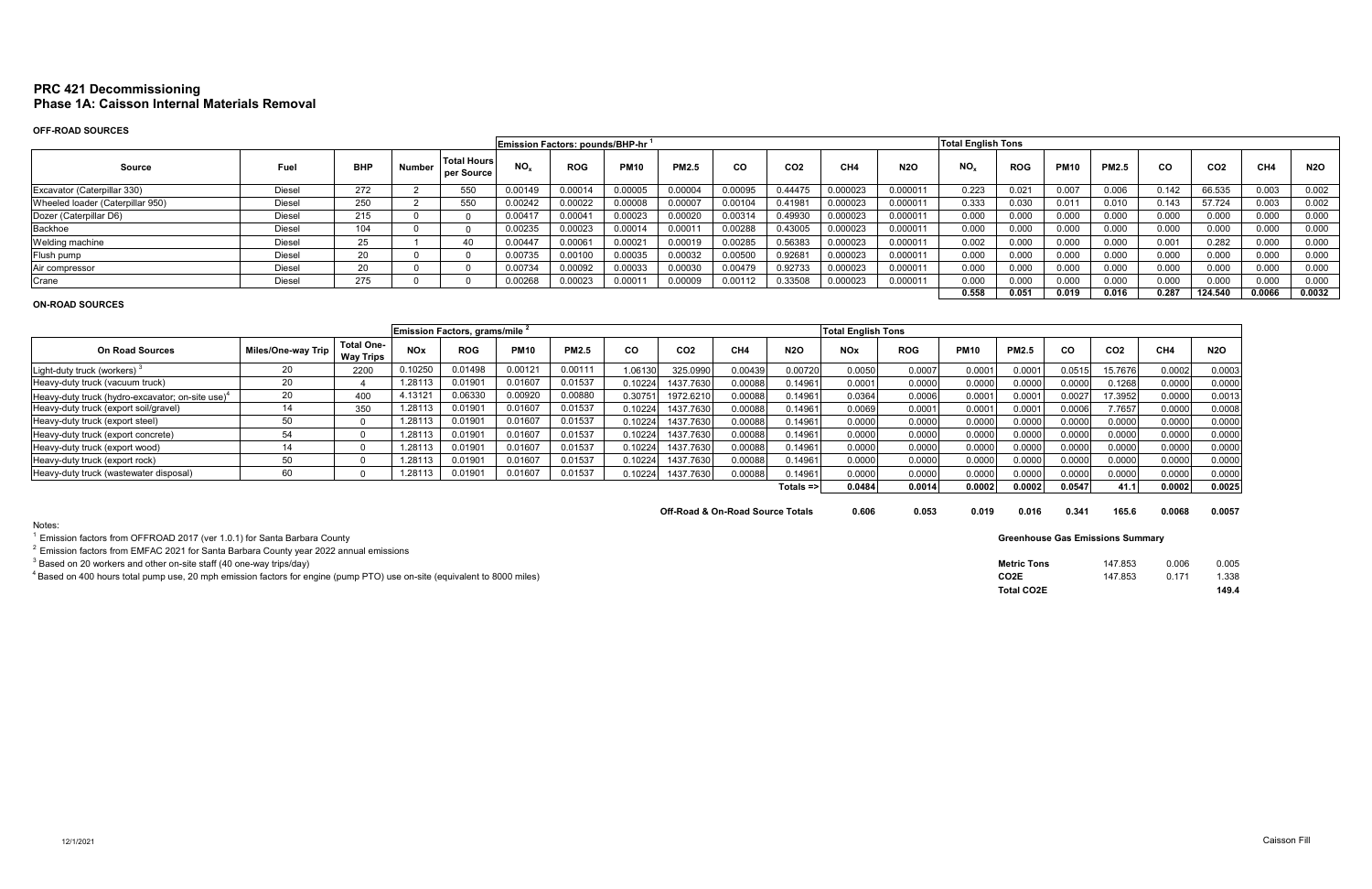# **PRC 421 Decommissioning Phase 1A: Caisson Internal Materials Removal**

# **OFF-ROAD SOURCES**

|                                  |               |            |               |                                  | Emission Factors: pounds/BHP-hr <sup>1</sup> |            |                  |              |           |                 |                 |            | <b>Total English Tons</b> |            |             |              |           |                 |        |            |
|----------------------------------|---------------|------------|---------------|----------------------------------|----------------------------------------------|------------|------------------|--------------|-----------|-----------------|-----------------|------------|---------------------------|------------|-------------|--------------|-----------|-----------------|--------|------------|
| Source                           | Fuel          | <b>BHP</b> | <b>Number</b> | <b>Total Hours</b><br>per Source | $NO_{x}$                                     | <b>ROG</b> | <b>PM10</b>      | <b>PM2.5</b> | <b>CO</b> | CO <sub>2</sub> | CH <sub>4</sub> | <b>N2O</b> | $NO_{x}$                  | <b>ROG</b> | <b>PM10</b> | <b>PM2.5</b> | <b>CO</b> | CO <sub>2</sub> | CH4    | <b>N2O</b> |
| Excavator (Caterpillar 330)      | Diesel        | 272        |               | 550                              | 0.00149                                      | 0.00014    | 0.00005          | 0.00004      | 0.00095   | 0.44475         | 0.000023        | 0.000011   | 0.223                     | 0.02       | 0.007       | 0.006        | 0.142     | 66.535          | 0.003  | 0.002      |
| Wheeled loader (Caterpillar 950) | Diesel        | 250        |               | 550                              | 0.00242                                      | 0.00022    | 0.00008          | 0.00007      | 0.00104   | 0.41981         | 0.000023        | 0.000011   | 0.333                     | 0.03C      | 0.011       | 0.010        | 0.143     | 57.724          | 0.003  | 0.002      |
| Dozer (Caterpillar D6)           | Diesel        | 215        |               |                                  | 0.0041                                       | 0.00041    | 0.00023          | 0.00020      | 0.00314   | 0.49930         | 0.000023        | 0.000011   | 0.000                     | 0.000      | 0.000       | 0.000        | 0.000     | 0.000           | 0.000  | 0.000      |
| Backhoe                          | <b>Diesel</b> | 104        |               |                                  | 0.00235                                      | 0.00023    | 0.00014          | 0.00011      | 0.00288   | 0.43005         | 0.000023        | 0.000011   | 0.000                     | 0.000      | 0.000       | 0.000        | 0.000     | 0.000           | 0.000  | 0.000      |
| Welding machine                  | Diesel        | 25         |               |                                  | 0.00447                                      | 0.0006     | 0.0002           | 0.00019      | 0.00285   | 0.56383         | 0.000023        | 0.000011   | 0.002                     | 0.000      | 0.000       | 0.000        | 0.001     | 0.282           | 0.000  | 0.000      |
| Flush pump                       | Diesel        | 20         |               |                                  | 0.00735                                      | 0.00100    | 0.00035          | 0.00032      | 0.00500   | 0.92681         | 0.000023        | 0.000011   | 0.000                     | 0.000      | 0.000       | 0.000        | 0.000     | 0.000           | 0.000  | 0.000      |
| Air compressor                   | Diesel        | 20         |               |                                  | 0.00734                                      | 0.00092    | 0.00033          | 0.00030      | 0.00479   | 0.92733         | 0.000023        | 0.000011   | 0.000                     | 0.000      | 0.000       | 0.000        | 0.000     | 0.000           | 0.000  | 0.000      |
| Crane                            | Diesel        | 275        |               |                                  | 0.00268                                      | 0.00023    | 000 <sub>1</sub> | 0.00009      | 0.00112   | 0.33508         | 0.000023        | 0.000011   | 0.000                     | 0.000      | 0.000       | 0.000        | 0.000     | 0.000           | 0.000  | 0.000      |
|                                  |               |            |               |                                  |                                              |            |                  |              |           |                 |                 |            | 0.558                     | 0.051      | 0.019       | 0.016        | 0.287     | 124.540         | 0.0066 | 0.0032     |

## **ON-ROAD SOURCES**

|                                                              |                    |                                       |            | Emission Factors, grams/mile 2 |             |              |          |                 |         |              |            | <b>Total English Tons</b> |             |              |        |                 |                 |            |
|--------------------------------------------------------------|--------------------|---------------------------------------|------------|--------------------------------|-------------|--------------|----------|-----------------|---------|--------------|------------|---------------------------|-------------|--------------|--------|-----------------|-----------------|------------|
| <b>On Road Sources</b>                                       | Miles/One-way Trip | <b>Total One-</b><br><b>Way Trips</b> | <b>NOx</b> | <b>ROG</b>                     | <b>PM10</b> | <b>PM2.5</b> | CO       | CO <sub>2</sub> | CH4     | <b>N2O</b>   | <b>NOx</b> | <b>ROG</b>                | <b>PM10</b> | <b>PM2.5</b> | CO.    | CO <sub>2</sub> | CH <sub>4</sub> | <b>N2O</b> |
| Light-duty truck (workers)                                   | 20                 | 2200                                  | 0.10250    | 0.01498                        | 0.00121     | 0.00111      | 1.06130  | 325.0990        | 0.00439 | 0.00720      | 0.0050     | 0.0007                    | 0.0001      | 0.000        | 0.0515 | 15.7676         | 0.0002          | 0.0003     |
| Heavy-duty truck (vacuum truck)                              | 20                 |                                       | 1.28113    | 0.0190                         | 0.01607     | 0.01537      | 0.102241 | 1437.7630       | 0.00088 | 0.14961      | 0.0001     | 0.0000                    | 0.0000      | 0.0000       | 0.0000 | 0.1268          | 0.0000          | 0.0000     |
| Heavy-duty truck (hydro-excavator; on-site use) <sup>4</sup> |                    | 400                                   | 4.13121    | 0.06330                        | 0.00920     | 0.00880      | 0.3075   | 1972.621        | 0.00088 | 0.14961      | 0.0364     | 0.0006                    | 0.0001      | 0.000        | 0.0027 | 17.3952         | 0.0000          | 0.0013     |
| Heavy-duty truck (export soil/gravel)                        |                    | 350                                   | 1.28113    | 0.0190                         | 0.01607     | 0.01537      | 0.10224  | 1437.7630       | 0.00088 | 0.14961      | 0.0069     | 0.0001                    | 0.0001      | 0.000        | 0.0006 | 7.7657          | 0.0000          | 0.0008     |
| Heavy-duty truck (export steel)                              |                    |                                       | 1.28113    | 0.0190                         | 0.01607     | 0.01537      | 0.10224  | 1437.7630       | 0.00088 | 0.14961      | 0.0000     | 0.0000                    | 0.0000      | 0.0000       | 0.0000 | 0.0000          | 0.0000          | 0.0000     |
| Heavy-duty truck (export concrete)                           | 54                 |                                       | .28113     | 0.0190                         | 0.01607     | 0.01537      | 0.10224  | 1437.7630       | 0.00088 | 0.14961      | 0.0000     | 0.0000                    | 0.0000      | 0.0000       | 0.0000 | 0.0000          | 0.0000          | 0.0000     |
| Heavy-duty truck (export wood)                               |                    |                                       | .28113     | 0.0190                         | 0.01607     | 0.01537      | 0.10224  | 1437.7630       | 0.00088 | J.14961      | 0.0000     | 0.0000                    | 0.0000      | 0.0000       | 0.0000 | 0.0000          | 0.0000          | 0.0000     |
| Heavy-duty truck (export rock)                               |                    |                                       | .28113     | 0.0190                         | 0.01607     | 0.01537      | 0.10224  | 1437.7630       | 0.00088 | 0.14961      | 0.0000     | 0.0000                    | 0.0000      | 0.0000       | 0.0000 | 0.0000          | 0.0000          | 0.0000     |
| Heavy-duty truck (wastewater disposal)                       | 60                 |                                       | .28113     | 0.0190                         | 0.01607     | 0.01537      | 0.10224  | 1437.7630       | 0.00088 | 0.14961      | 0.0000     | 0.0000                    | 0.0000      | 0.0000       | 0.0000 | 0.0000          | 0.0000          | 0.0000     |
|                                                              |                    |                                       |            |                                |             |              |          |                 |         | $Totals = >$ | 0.0484     | 0.0014                    | 0.0002      | 0.0002       | 0.0547 | 41.1            | 0.0002          | 0.0025     |

**Off-Road & On-Road Source Totals 0.606 0.053 0.019** 

Notes:

 $1$  Emission factors from OFFROAD 2017 (ver 1.0.1) for Santa Barbara County

 $2$  Emission factors from EMFAC 2021 for Santa Barbara County year 2022 annual emissions

 $^3$  Based on 20 workers and other on-site staff (40 one-way trips/day)

 $^4$ Based on 400 hours total pump use, 20 mph emission factors for engine (pump PTO) use on-site (equivalent to 8000 miles)

| 0.016 | 0.341 | 165.6 | 0.0068 | 0.0057 |
|-------|-------|-------|--------|--------|
|       |       |       |        |        |

| Metric Tons | 147.853 | 0.006 | 0.005 |
|-------------|---------|-------|-------|
| CO2E        | 147.853 | 0.171 | 1.338 |
| Total CO2E  |         |       | 149.4 |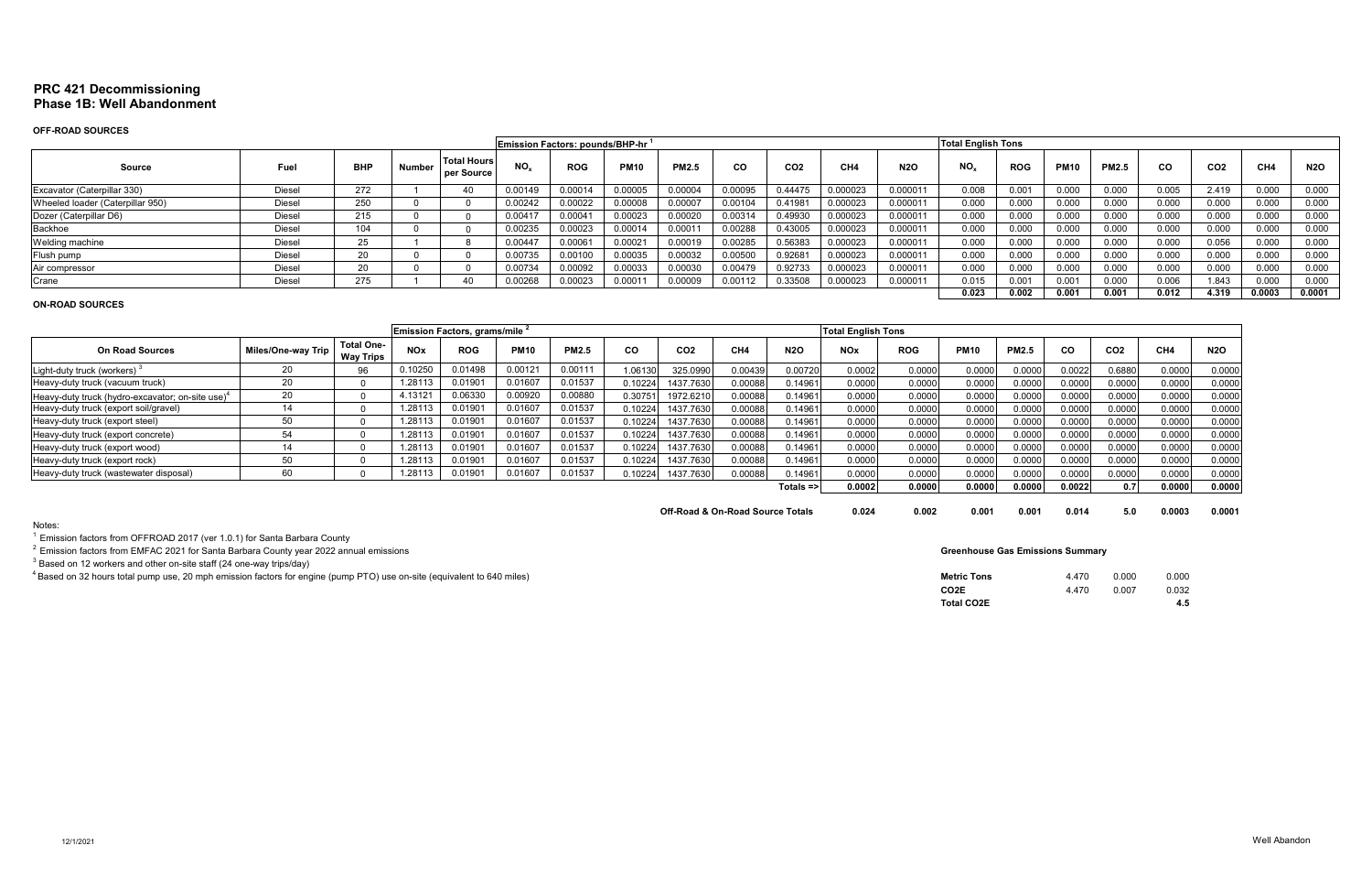# **PRC 421 Decommissioning Phase 1B: Well Abandonment**

#### **OFF-ROAD SOURCES**

|                                  |               |            |        |                                  | Emission Factors: pounds/BHP-hr <sup>1</sup> |            |               |              |           |                     |                 |            | <b>Total English Tons</b> |                |                   |              |       |                 |        |            |
|----------------------------------|---------------|------------|--------|----------------------------------|----------------------------------------------|------------|---------------|--------------|-----------|---------------------|-----------------|------------|---------------------------|----------------|-------------------|--------------|-------|-----------------|--------|------------|
| Source                           | Fuel          | <b>BHP</b> | Number | <b>Total Hours</b><br>per Source | NO.                                          | <b>ROG</b> | <b>PM10</b>   | <b>PM2.5</b> | <b>CO</b> | CO <sub>2</sub>     | CH <sub>4</sub> | <b>N2O</b> | NO <sub>r</sub>           | <b>ROG</b>     | <b>PM10</b>       | <b>PM2.5</b> | CO    | CO <sub>2</sub> | CH4    | <b>N2O</b> |
| Excavator (Caterpillar 330)      | Diesel        | 272        |        |                                  | 0.00149                                      | 0.00014    | 0.00005       | 0.00004      | 0.00095   | 0.4447 <sup>r</sup> | 0.000023        | 0.000011   | 0.008                     | 0.00           | 0.000             | 0.000        | 0.005 | 2.419           | 0.000  | 0.000      |
| Wheeled loader (Caterpillar 950) | Diesel        | 250        |        |                                  | 0.00242                                      | 0.00022    | 0.00008       | 0.00007      | 0.00104   | 0.41981             | 0.000023        | 0.00001    | 0.000                     | 0.000          | 0.000             | 0.000        | 0.000 | 0.000           | 0.000  | 0.000      |
| Dozer (Caterpillar D6)           | Diesel        | 215        |        |                                  | 0.00417                                      | 0.00041    | 0.00023       | 0.00020      | 0.00314   | 0.4993              | 0.000023        | 0.00001'   | 0.000                     | 0.000          | 0.000             | 0.000        | 0.000 | 0.000           | 0.000  | 0.000      |
| Backhoe                          | <b>Diesel</b> | 104        |        |                                  | 0.00235                                      | 0.00023    | 0.00014       | 0.00011      | 0.00288   | 0.43005             | 0.000023        | 0.000011   | 0.000                     | 0.000          | 0.000             | 0.000        | 0.000 | 0.000           | 0.000  | 0.000      |
| Welding machine                  | Diesel        | 25         |        |                                  | 0.00447                                      | 0.00061    | 0.0002        | 0.00019      | 0.00285   | 0.56383             | 0.000023        | 0.000011   | 0.000                     | 0.000          | 0.000             | 0.000        | 0.000 | 0.056           | 0.000  | 0.000      |
| Flush pump                       | Diesel        | $\sim$     |        |                                  | 0.00735                                      | 0.00100    | 0.00035       | 0.00032      | 0.00500   | 0.92681             | 0.000023        | 0.000011   | 0.000                     | 0.000          | 0.000             | 0.000        | 0.000 | 0.000           | 0.000  | 0.000      |
| Air compressor                   | Diesel        | $\sim$     |        |                                  | 0.00734                                      | 0.00092    | 0.00033       | 0.00030      | 0.00479   | 0.92733             | 0.000023        | 0.00001    | 0.000                     | 0.000          | 0.000             | 0.000        | 0.000 | 0.000           | 0.000  | 0.000      |
| Crane                            | Diesel        | 275        |        |                                  | .00268                                       | 0.00023    | $0.000^\circ$ | 0.00009      | 0.00112   | ን.33508             | 0.000023        | 0.00001    | 0.015                     | $0.00^{\circ}$ | 0.00 <sub>1</sub> | 0.000        | 0.006 | 843.            | 0.000  | 0.000      |
|                                  |               |            |        |                                  |                                              |            |               |              |           |                     |                 |            | 0.023                     | 0.002          | 0.001             | 0.001        | 0.012 | 4.319           | 0.0003 | 0.0001     |

## **ON-ROAD SOURCES**

|                                                              |                    |                                       |                       | <b>Emission Factors, grams/mile 1</b> |             |              |         |                 |         |                  | <b>Total English Tons</b> |            |             |              |           |                 |                 |            |
|--------------------------------------------------------------|--------------------|---------------------------------------|-----------------------|---------------------------------------|-------------|--------------|---------|-----------------|---------|------------------|---------------------------|------------|-------------|--------------|-----------|-----------------|-----------------|------------|
| <b>On Road Sources</b>                                       | Miles/One-way Trip | <b>Total One-</b><br><b>Way Trips</b> | <b>NO<sub>x</sub></b> | <b>ROG</b>                            | <b>PM10</b> | <b>PM2.5</b> | CO      | CO <sub>2</sub> | CH4     | <b>N2O</b>       | <b>NOx</b>                | <b>ROG</b> | <b>PM10</b> | <b>PM2.5</b> | <b>CO</b> | CO <sub>2</sub> | CH <sub>4</sub> | <b>N2O</b> |
| Light-duty truck (workers)                                   | 20                 | 96                                    | 0.10250               | 0.01498                               | 0.00121     | 0.00111      | 1.06130 | 325.0990        | 0.00439 | 0.00720          | 0.0002                    | 0.0000     | 0.0000      | 0.0000       | 0.0022    | 0.6880          | 0.0000          | 0.0000     |
| Heavy-duty truck (vacuum truck)                              | 20                 |                                       | .28113                | 0.0190                                | 0.01607     | 0.01537      | J.10224 | 1437.7630       | 0.00088 | 0.14961          | 0.0000                    | 0.0000     | 0.0000      | 0.0000       | 0.0000    | 0.0000          | 0.0000          | 0.0000     |
| Heavy-duty truck (hydro-excavator; on-site use) <sup>4</sup> | 20                 |                                       | 4.13121               | 0.06330                               | 0.00920     | 0.00880      | 0.3075  | 1972.6210       | 0.00088 | 0.14961          | 0.0000                    | 0.0000     | 0.0000      | 0.0000       | 0.0000    | 0.0000          | 0.0000          | 0.0000     |
| Heavy-duty truck (export soil/gravel)                        |                    |                                       | .28113                | 0.01901                               | 0.01607     | 0.01537      | 0.10224 | 1437.7630       | 0.00088 | 0.14961          | 0.0000                    | 0.0000     | 0.0000      | 0.0000       | 0.0000    | 0.0000          | 0.0000          | 0.0000     |
| Heavy-duty truck (export steel)                              |                    |                                       | .28113                | 0.0190                                | 0.01607     | 0.01537      | J.10224 | 1437.7630       | 0.00088 | 0.14961          | 0.0000                    | 0.0000     | 0.0000      | 0.0000       | 0.0000    | 0.0000          | 0.0000          | 0.0000     |
| Heavy-duty truck (export concrete)                           |                    |                                       | .28113                | 0.0190                                | 0.01607     | 0.01537      | 0.10224 | 1437.7630       | 0.00088 | 0.14961          | 0.0000                    | 0.0000     | 0.0000      | 0.0000       | 0.0000    | 0.0000          | 0.0000          | 0.0000     |
| Heavy-duty truck (export wood)                               |                    |                                       | .28113                | 0.0190                                | 0.01607     | 0.01537      | 0.10224 | 1437.7630       | 0.00088 | 0.14961          | 0.0000                    | 0.0000     | 0.0000      | 0.0000       | 0.000     | 0.0000          | 0.0000          | 0.0000     |
| Heavy-duty truck (export rock)                               |                    |                                       | .28113                | 0.0190                                | 0.01607     | 0.01537      | 0.10224 | 1437.7630       | 0.00088 | J.14961          | 0.0000                    | 0.0000     | 0.0000      | 0.000        | 0.0000    | 0.0000          | 0.0000          | 0.0000     |
| Heavy-duty truck (wastewater disposal)                       |                    |                                       | .28113                | 0.0190                                | 0.01607     | 0.01537      | 0.10224 | 1437.7630       | 0.00088 | 0.14961          | 0.0000                    | 0.0000     | 0.0000      | 0.0000       | 0.0000    | 0.0000          | 0.0000          | 0.0000     |
|                                                              |                    |                                       |                       |                                       |             |              |         |                 |         | Totals $\approx$ | 0.0002                    | 0.0000     | 0.0000      | 0.0000       | 0.0022    | 0.71            | 0.0000          | 0.0000     |
|                                                              |                    |                                       |                       |                                       |             |              |         |                 |         |                  |                           |            |             |              |           |                 |                 |            |

**Off-Road & On-Road Source Totals 0.024 0.002 0.001** 

Notes:

 $1$  Emission factors from OFFROAD 2017 (ver 1.0.1) for Santa Barbara County

 $2$  Emission factors from EMFAC 2021 for Santa Barbara County year 2022 annual emissions

 $^3$  Based on 12 workers and other on-site staff (24 one-way trips/day)

 $^4$ Based on 32 hours total pump use, 20 mph emission factors for engine (pump PTO) use on-site (equivalent to 640 miles)

**Metric Tons** 

| 0.001 | 0.014 | 5.0 | 0.0003 | 0.0001 |
|-------|-------|-----|--------|--------|
|       |       |     |        |        |

| <b>Metric Tons</b> | 4 4 7 0 | 0.000        | 0.000 |
|--------------------|---------|--------------|-------|
| CO <sub>2</sub> E  | 4 4 7 0 | <u>በ በበ7</u> | 0.032 |
| <b>Total CO2E</b>  |         |              | 4.5   |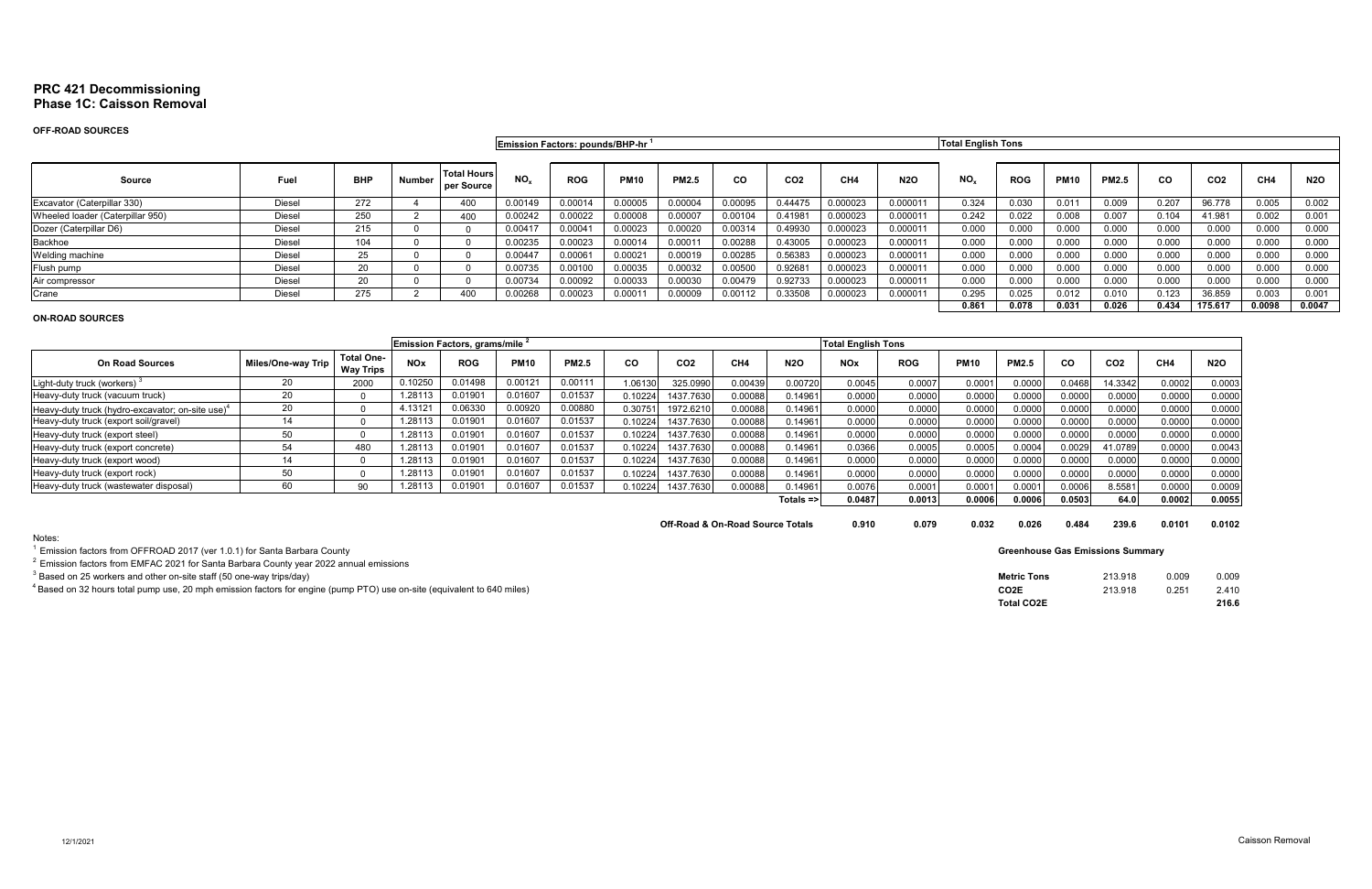# **PRC 421 Decommissioning Phase 1C: Caisson Removal**

# **OFF-ROAD SOURCES**

|                                  |               |            |               |                                  |                 | <b>Emission Factors: pounds/BHP-hr</b> |             |              |           |                 |          |            | <b>Total English Tons</b> |            |             |              |           |                 |        |            |
|----------------------------------|---------------|------------|---------------|----------------------------------|-----------------|----------------------------------------|-------------|--------------|-----------|-----------------|----------|------------|---------------------------|------------|-------------|--------------|-----------|-----------------|--------|------------|
|                                  |               |            |               |                                  |                 |                                        |             |              |           |                 |          |            |                           |            |             |              |           |                 |        |            |
| <b>Source</b>                    | Fuel          | <b>BHP</b> | <b>Number</b> | <b>Total Hours</b><br>per Source | NO <sub>x</sub> | <b>ROG</b>                             | <b>PM10</b> | <b>PM2.5</b> | <b>CO</b> | CO <sub>2</sub> | CH4      | <b>N2O</b> | $NO_{x}$                  | <b>ROG</b> | <b>PM10</b> | <b>PM2.5</b> | <b>CO</b> | CO <sub>2</sub> | CH4    | <b>N2O</b> |
| Excavator (Caterpillar 330)      | <b>Diesel</b> | 272        |               | 400                              | 0.00149         | 0.00014                                | 0.00005     | 0.00004      | 0.00095   | 0.4447F         | 0.000023 | 0.000011   | 0.324                     | 0.030      | 0.011       | 0.009        | 0.207     | 96.778          | 0.005  | 0.002      |
| Wheeled loader (Caterpillar 950) | Diesel        | 250        |               | 400                              | 0.00242         | 0.00022                                | 0.00008     | 0.00007      | 0.00104   | 0.41981         | 0.000023 | 0.000011   | 0.242                     | 0.022      | 0.008       | 0.007        | 0.104     | 41.981          | 0.002  | 0.001      |
| Dozer (Caterpillar D6)           | <b>Diesel</b> | 215        |               |                                  | 0.00417         | 0.00041                                | 0.00023     | 0.00020      | 0.00314   | 0.49930         | 0.000023 | 0.000011   | 0.000                     | 0.000      | 0.000       | 0.000        | 0.000     | 0.000           | 0.000  | 0.000      |
| Backhoe                          | Diesel        | 104        |               |                                  | 0.00235         | 0.00023                                | 0.00014     | 0.00011      | 0.00288   | 0.43005         | 0.000023 | 0.000011   | 0.000                     | 0.000      | 0.000       | 0.000        | 0.000     | 0.000           | 0.000  | 0.000      |
| Welding machine                  | <b>Diesel</b> | ∠.         |               |                                  | 0.00447         | 0.00061                                | 0.0002      | 0.00019      | 0.00285   | 0.56383         | 0.000023 | 0.000011   | 0.000                     | 0.000      | 0.000       | 0.000        | 0.000     | 0.000           | 0.000  | 0.000      |
| Flush pump                       | <b>Diesel</b> | 20         |               |                                  | 0.00735         | 0.00100                                | 0.00035     | 0.00032      | 0.00500   | 0.92681         | 0.000023 | 0.000011   | 0.000                     | 0.000      | 0.000       | 0.000        | 0.000     | 0.000           | 0.000  | 0.000      |
| Air compressor                   | <b>Diesel</b> | 20         |               |                                  | 0.00734         | 0.00092                                | 0.00033     | 0.00030      | 0.00479   | 0.92733         | 0.000023 | 0.000011   | 0.000                     | 0.000      | 0.000       | 0.000        | 0.000     | 0.000           | 0.000  | 0.000      |
| Crane                            | Diesel        | 275        |               | 400                              | 0.00268         | 0.00023                                | 0.0001      | 0.00009      | 0.00112   | 0.33508         | 0.000023 | 0.000011   | 0.295                     | 0.025      | 0.012       | 0.010        | 0.123     | 36.859          | 0.003  | 0.001      |
|                                  |               |            |               |                                  |                 |                                        |             |              |           |                 |          |            | 0.861                     | 0.078      | 0.031       | 0.026        | 0.434     | 175.617         | 0.0098 | 0.0047     |

# **ON-ROAD SOURCES**

|                                                              |                    |                                       | Emission Factors, grams/mile <sup>2</sup> |                     |             |              |         |                 |                 |                      |            | <b>Total English Tons</b> |             |              |           |                 |                 |            |
|--------------------------------------------------------------|--------------------|---------------------------------------|-------------------------------------------|---------------------|-------------|--------------|---------|-----------------|-----------------|----------------------|------------|---------------------------|-------------|--------------|-----------|-----------------|-----------------|------------|
| <b>On Road Sources</b>                                       | Miles/One-way Trip | <b>Total One-</b><br><b>Way Trips</b> | <b>NOx</b>                                | <b>ROG</b>          | <b>PM10</b> | <b>PM2.5</b> | CO      | CO <sub>2</sub> | CH <sub>4</sub> | <b>N2O</b>           | <b>NOx</b> | <b>ROG</b>                | <b>PM10</b> | <b>PM2.5</b> | <b>CO</b> | CO <sub>2</sub> | CH <sub>4</sub> | <b>N2O</b> |
| Light-duty truck (workers)                                   | 20.                | 2000                                  | 0.10250                                   | .01498              | 0.00121     | 0.00111      | 1.06130 | 325.0990        | 0.00439         | 0.00720              | 0.0045     | 0.0007                    | 0.0001      | 0.0000       | 0.046     | 14.3342         | 0.0002          | 0.0003     |
| Heavy-duty truck (vacuum truck)                              | 20                 |                                       | 1.28113                                   | 190 <sup>*</sup> ر  | 0.01607     | 0.01537      | 0.10224 | 1437.7630       | 0.00088         | 0.14961              | 0.0000     | 0.0000                    | 0.0000      | 0.0000       | 0.0000    | 0.0000          | 0.0000          | 0.0000     |
| Heavy-duty truck (hydro-excavator; on-site use) <sup>4</sup> | 20                 |                                       | 4.13121                                   | 0.06330             | 0.00920     | 0.00880      | 0.30751 | 1972.6210       | 0.00088         | 0.14961              | 0.0000     | 0.0000                    | 0.0000      | 0.0000       | 0.0000    | 0.0000          | 0.0000          | 0.0000     |
| Heavy-duty truck (export soil/gravel)                        | 14                 |                                       | 1.28113                                   | 0.01901             | 0.01607     | 0.01537      | 0.10224 | 1437.7630       | 0.00088         | 0.14961              | 0.0000     | 0.0000                    | 0.0000      | 0.000C       | 0.0000    | 0.0000          | 0.0000          | 0.0000     |
| Heavy-duty truck (export steel)                              | 50                 |                                       | 1.28113                                   | 0.01901             | 0.01607     | 0.01537      | 0.10224 | 1437.7630       | 0.00088         | 0.14961              | 0.0000     | 0.0000                    | 0.0000      | 0.0000       | 0.0000    | 0.0000          | 0.0000          | 0.0000     |
| Heavy-duty truck (export concrete)                           | 54                 | 480                                   | 1.28113                                   | 0.01901             | 0.01607     | 0.01537      | 0.10224 | 1437.7630       | 0.00088         | 0.14961              | 0.0366     | 0.0005                    | 0.0005      | 0.0004       | 0.0029    | 41.0789         | 0.0000          | 0.0043     |
| Heavy-duty truck (export wood)                               | 14                 |                                       | 1.28113                                   | 0.0190              | 0.01607     | 0.01537      | 0.10224 | 1437.7630       | 0.00088         | 0.14961              | 0.0000     | 0.0000                    | 0.0000      | 0.0000       | 0.0000    | 0.0000          | 0.0000          | 0.0000     |
| Heavy-duty truck (export rock)                               | 50                 |                                       | 1.28113                                   | $.0190^{.}$         | 0.01607     | 0.01537      | 0.10224 | 1437.7630       | 0.00088         | 0.14961              | 0.0000     | 0.0000                    | 0.0000      | 0.0000       | 0.0000    | 0.0000          | 0.0000          | 0.0000     |
| Heavy-duty truck (wastewater disposal)                       | 60                 | 90                                    | 1.28113                                   | 0.0190 <sup>4</sup> | 0.01607     | 0.01537      | 0.10224 | 1437.7630       | 00088           | 0.14961              | 0.0076     | 0.0001                    | 0.0001      | 0.000        | 0.0006    | 3.5581 l        | 0.0000          | 0.0009     |
|                                                              |                    |                                       |                                           |                     |             |              |         |                 |                 | Totals $\Rightarrow$ | 0.0487     | 0.0013                    | 0.0006      | 0.0006       | 0.0503    | 64.0 l          | 0.0002          | 0.0055     |

**Off-Road & On-Road Source Totals 0.910 0.079 0.032** 

Notes:

 $^1$  Emission factors from OFFROAD 2017 (ver 1.0.1) for Santa Barbara County

2 Emission factors from EMFAC 2021 for Santa Barbara County year 2022 annual emissions

 $^3$  Based on 25 workers and other on-site staff (50 one-way trips/day)

 $^4$ Based on 32 hours total pump use, 20 mph emission factors for engine (pump PTO) use on-site (equivalent to 640 miles)

| 0.026 | 0.484 | 239.6 | 0.0101 | 0.0102 |
|-------|-------|-------|--------|--------|
|       |       |       |        |        |

| Metric Tons | 213.918 | 0.009 | 0.009 |
|-------------|---------|-------|-------|
| CO2E        | 213.918 | 0.251 | 2.410 |
| Total CO2E  |         |       | 216.6 |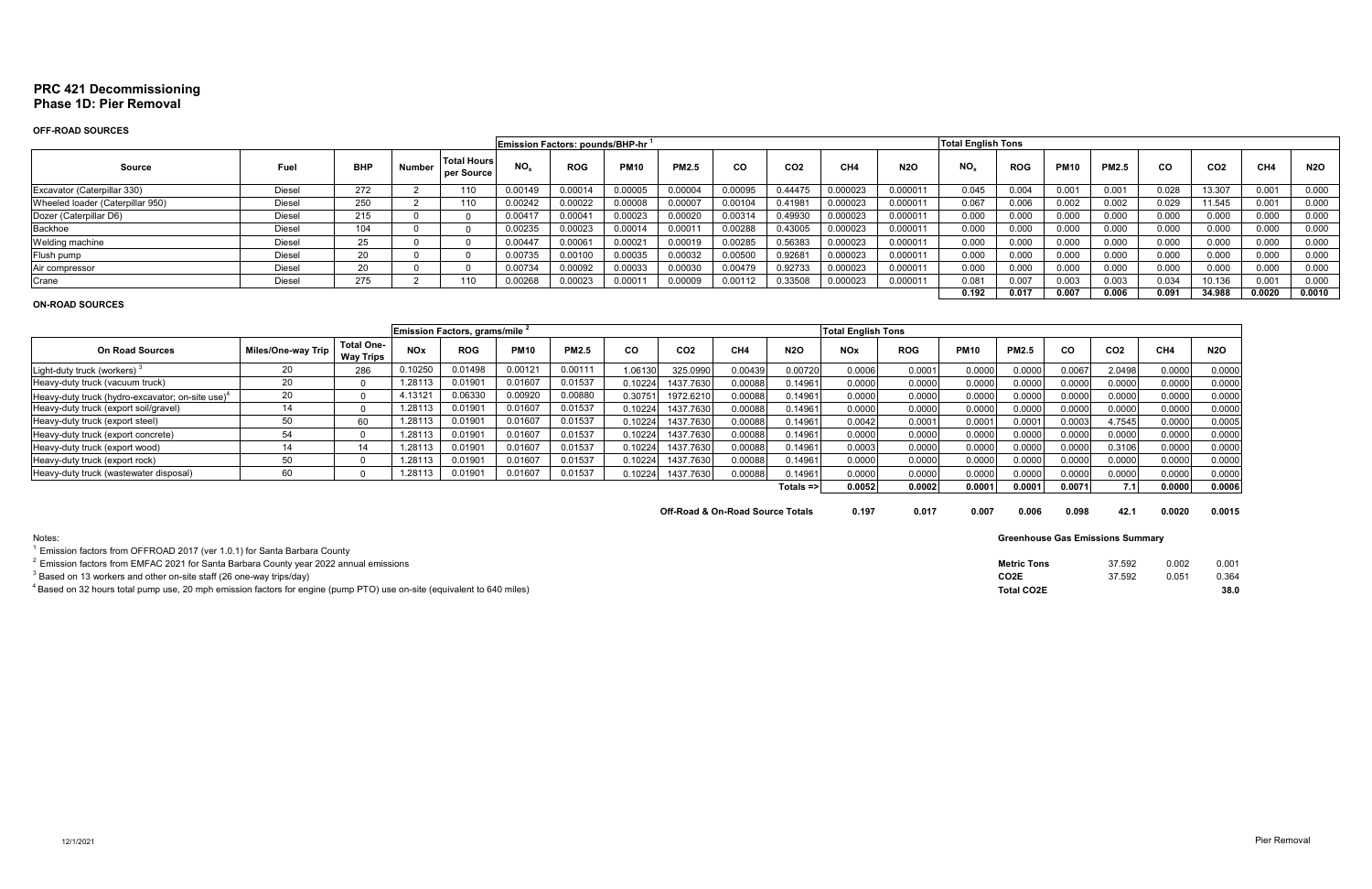# **PRC 421 Decommissioning Phase 1D: Pier Removal**

# **OFF-ROAD SOURCES**

|                                  |               |            |        |                                  | Emission Factors: pounds/BHP-hr <sup>1</sup> |            |               |              |           |                 |                 |            | <b>Total English Tons</b> |            |                   |              |       |                 |        |            |
|----------------------------------|---------------|------------|--------|----------------------------------|----------------------------------------------|------------|---------------|--------------|-----------|-----------------|-----------------|------------|---------------------------|------------|-------------------|--------------|-------|-----------------|--------|------------|
| Source                           | Fuel          | <b>BHP</b> | Number | <b>Total Hours</b><br>per Source | NO.                                          | <b>ROG</b> | <b>PM10</b>   | <b>PM2.5</b> | <b>CO</b> | CO <sub>2</sub> | CH <sub>4</sub> | <b>N2O</b> | NO <sub>r</sub>           | <b>ROG</b> | <b>PM10</b>       | <b>PM2.5</b> | CO    | CO <sub>2</sub> | CH4    | <b>N2O</b> |
| Excavator (Caterpillar 330)      | Diesel        | 272        |        | 110                              | 0.00149                                      | 0.00014    | 0.00005       | 0.00004      | 0.00095   | 0.4447'         | 0.000023        | 0.000011   | 0.045                     | 0.004      | 0.00 <sub>1</sub> | 0.001        | 0.028 | 13.307          | 0.001  | 0.000      |
| Wheeled loader (Caterpillar 950) | Diesel        | 250        |        | 110                              | 0.00242                                      | 0.00022    | 0.00008       | 0.00007      | 0.00104   | 0.41981         | 0.000023        | 0.00001'   | 0.067                     | 0.006      | 0.002             | 0.002        | 0.029 | 11.545          | 0.001  | 0.000      |
| Dozer (Caterpillar D6)           | Diesel        | 215        |        |                                  | 0.00417                                      | 0.00041    | 0.00023       | 0.00020      | 0.00314   | 0.4993          | 0.000023        | 0.00001'   | 0.000                     | 0.000      | 0.000             | 0.000        | 0.000 | 0.000           | 0.000  | 0.000      |
| Backhoe                          | <b>Diesel</b> | 104        |        |                                  | 0.00235                                      | 0.00023    | 0.00014       | 0.00011      | 0.00288   | 0.43005         | 0.000023        | 0.000011   | 0.000                     | 0.000      | 0.000             | 0.000        | 0.000 | 0.000           | 0.000  | 0.000      |
| Welding machine                  | Diesel        | OE.<br>25  |        |                                  | 0.00447                                      | 0.00061    | 0.0002        | 0.00019      | 0.00285   | 0.56383         | 0.000023        | 0.000011   | 0.000                     | 0.000      | 0.000             | 0.000        | 0.000 | 0.000           | 0.000  | 0.000      |
| Flush pump                       | Diesel        | $\sim$     |        |                                  | 0.00735                                      | 0.00100    | 0.00035       | 0.00032      | 0.00500   | 0.92681         | 0.000023        | 0.000011   | 0.000                     | 0.000      | 0.000             | 0.000        | 0.000 | 0.000           | 0.000  | 0.000      |
| Air compressor                   | Diesel        | $\sim$     |        |                                  | 0.00734                                      | 0.00092    | 0.00033       | 0.00030      | 0.00479   | 0.92733         | 0.000023        | 0.00001    | 0.000                     | 0.000      | 0.000             | 0.000        | 0.000 | 0.000           | 0.000  | 0.000      |
| Crane                            | Diesel        | 275        |        |                                  | .00268                                       | 0.00023    | $0.000^\circ$ | 0.00009      | 0.00112   | 0.33508         | 0.000023        | 0.00001    | 0.081                     | 0.007      | 0.003             | 0.003        | 0.034 | 10.136          | 0.001  | 0.000      |
|                                  |               |            |        |                                  |                                              |            |               |              |           |                 |                 |            | 0.192                     | 0.017      | 0.007             | 0.006        | 0.091 | 34.988          | 0.0020 | 0.0010     |

#### **ON-ROAD SOURCES**

| Emission Factors, grams/mile 2                  |                    |                                       |            |            |             |              |           |                 |                 |              | <b>Total English Tons</b> |            |             |              |        |                 |                 |            |
|-------------------------------------------------|--------------------|---------------------------------------|------------|------------|-------------|--------------|-----------|-----------------|-----------------|--------------|---------------------------|------------|-------------|--------------|--------|-----------------|-----------------|------------|
| <b>On Road Sources</b>                          | Miles/One-way Trip | <b>Total One-</b><br><b>Way Trips</b> | <b>NOx</b> | <b>ROG</b> | <b>PM10</b> | <b>PM2.5</b> | <b>CO</b> | CO <sub>2</sub> | CH <sub>4</sub> | <b>N2O</b>   | <b>NOx</b>                | <b>ROG</b> | <b>PM10</b> | <b>PM2.5</b> | CO     | CO <sub>2</sub> | CH <sub>4</sub> | <b>N2O</b> |
| Light-duty truck (workers)                      |                    | 286                                   | 0.10250    | 0.01498    | 0.00121     | 0.00111      | 1.06130   | 325.0990        | 0.00439         | 0.00720      | 0.0006                    | 0.0001     | 0.0000      | 0.0000       | 0.0067 | 2.0498          | 0.0000          | 0.0000     |
| Heavy-duty truck (vacuum truck)                 | nr                 |                                       | 1.28113    | 0.0190     | 0.01607     | 0.01537      | 0.10224   | 1437.7630       | 0.00088         | 0.14961      | 0.0000                    | 0.0000     | 0.0000      | 0.0000       | 0.0000 | 0.0000          | 0.0000          | 0.0000     |
| Heavy-duty truck (hydro-excavator; on-site use) | 20                 |                                       | 4.13121    | 0.06330    | 0.00920     | 0.00880      | 0.3075    | 1972.621        | 0.00088         | 0.14961      | 0.0000                    | 0.0000     | 0.0000      | 0.0000       | 0.0000 | 0.0000          | 0.0000          | 0.0000     |
| Heavy-duty truck (export soil/gravel)           |                    |                                       | 1.28113    | 0.0190     | 0.01607     | 0.01537      | 0.10224   | 1437.7630       | 0.00088         | 0.14961      | 0.0000                    | 0.0000     | 0.0000      | 0.0000       | 0.0000 | 0.0000          | 0.0000          | 0.0000     |
| Heavy-duty truck (export steel)                 |                    | 60                                    | .28113     | 0.0190     | 0.01607     | 0.01537      | 0.10224   | 1437.7630       | 0.00088         | 0.14961      | 0.0042                    | 0.0001     | 0.0001      | 0.000        | 0.0003 | 4.7545          | 0.0000          | 0.0005     |
| Heavy-duty truck (export concrete)              | 54                 |                                       | .28113     | 0.0190     | 0.01607     | 0.01537      | 0.10224   | 1437.7630       | 0.00088         | 0.14961      | 0.0000                    | 0.0000     | 0.0000      | 0.0000       | 0.0000 | 0.0000          | 0.0000          | 0.0000     |
| Heavy-duty truck (export wood)                  |                    | 14                                    | .28113     | 0.0190     | 0.01607     | 0.01537      | 0.10224   | 1437.7630       | 0.00088         | 0.14961      | 0.0003                    | 0.0000     | 0.0000      | 0.0000       | 0.0000 | 0.3106          | 0.0000          | 0.0000     |
| Heavy-duty truck (export rock)                  |                    |                                       | .28113     | 0.01901    | 0.01607     | 0.01537      | 0.10224   | 1437.7630       | 0.00088         | 0.14961      | 0.0000                    | 0.0000     | 0.0000      | 0.0000       | 0.0000 | 0.0000          | 0.0000          | 0.0000     |
| Heavy-duty truck (wastewater disposal)          | 6C                 |                                       | .2811      | 0.0190     | 0.01607     | 0.01537      | .10224    | 1437.7630       | 0.00088         | 0.14961      | 0.0000                    | 0.0000     | 0.0000      | 0.0000       | 0.0000 | 0.0000          | 0.0000          | 0.0000     |
|                                                 |                    |                                       |            |            |             |              |           |                 |                 | $Totals = >$ | 0.0052                    | 0.0002     | 0.0001      | 0.0001       | 0.0071 | 7.1             | 0.0000          | 0.0006     |

| Off-Road & On-Road Source Totals | 0.197 | 0.017 | 0.007 | 0.006 | 0.098 | 42.1 | 0.0020 | 0.0015 |
|----------------------------------|-------|-------|-------|-------|-------|------|--------|--------|
|                                  |       |       |       |       |       |      |        |        |

| <b>Notes</b>                                                                                                                       | <b>Greenhouse Gas Emissions Summary</b> |        |       |       |
|------------------------------------------------------------------------------------------------------------------------------------|-----------------------------------------|--------|-------|-------|
| $^1$ Emission factors from OFFROAD 2017 (ver 1.0.1) for Santa Barbara County                                                       |                                         |        |       |       |
| $^{\prime}$ Emission factors from EMFAC 2021 for Santa Barbara County year 2022 annual emissions                                   | <b>Metric Tons</b>                      | 37.592 | 0.002 | 0.001 |
| $^3$ Based on 13 workers and other on-site staff (26 one-way trips/day)                                                            | CO <sub>2</sub> E                       | 37.592 | 0.05  | 0.364 |
| <sup>4</sup> Based on 32 hours total pump use, 20 mph emission factors for engine (pump PTO) use on-site (equivalent to 640 miles) | <b>Total CO2E</b>                       |        |       | 38.0  |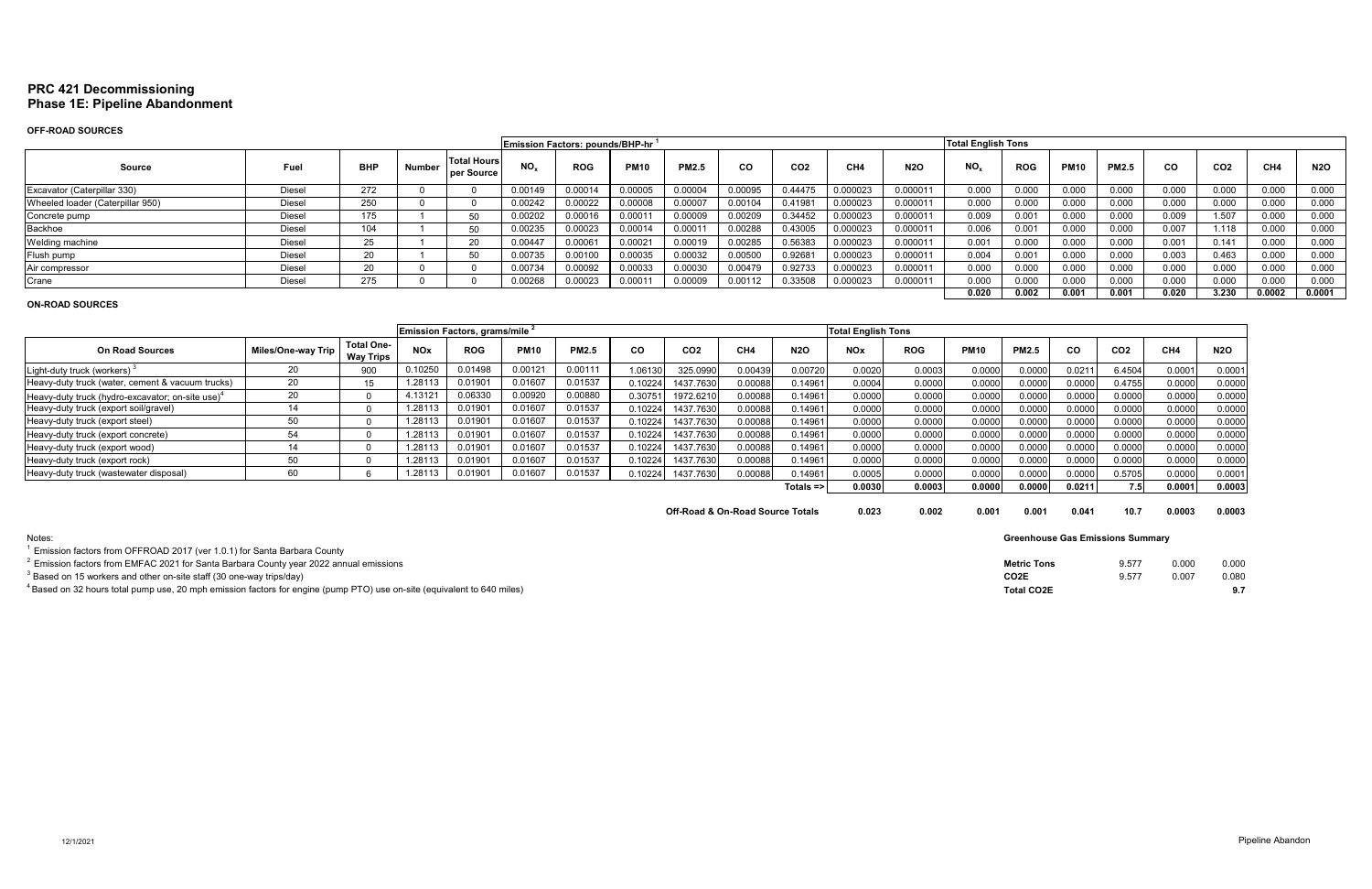# **PRC 421 Decommissioning Phase 1E: Pipeline Abandonment**

 $^1$  Emission factors from OFFROAD 2017 (ver 1.0.1) for Santa Barbara County

# **OFF-ROAD SOURCES**

|                                  |               |            |        |                                  |                 | Emission Factors: pounds/BHP-hr <sup>7</sup> |             |              |         |                 |                 |            | <b>Total English Tons</b> |            |             |              |       |                 |        |            |
|----------------------------------|---------------|------------|--------|----------------------------------|-----------------|----------------------------------------------|-------------|--------------|---------|-----------------|-----------------|------------|---------------------------|------------|-------------|--------------|-------|-----------------|--------|------------|
| Source                           | Fuel          | <b>BHP</b> | Number | <b>Total Hours</b><br>per Source | NO <sub>x</sub> | <b>ROG</b>                                   | <b>PM10</b> | <b>PM2.5</b> | CO.     | CO <sub>2</sub> | CH <sub>4</sub> | <b>N2O</b> | $NO_{x}$                  | <b>ROG</b> | <b>PM10</b> | <b>PM2.5</b> | CO.   | CO <sub>2</sub> | CH4    | <b>N2O</b> |
| Excavator (Caterpillar 330)      | <b>Diesel</b> | 272        |        |                                  | 0.00149         | 0.00014                                      | 0.00005     | 0.00004      | 0.00095 | 0.44475         | 0.000023        | 0.000011   | 0.000                     | 0.000      | 0.000       | 0.000        | 0.000 | 0.000           | 0.000  | 0.000      |
| Wheeled loader (Caterpillar 950) | Diesel        | 250        |        |                                  | 0.00242         | 0.00022                                      | 0.00008     | 0.00007      | 0.00104 | 0.41981         | 0.000023        | 0.000011   | 0.000                     | 0.000      | 0.000       | 0.000        | 0.000 | 0.000           | 0.000  | 0.000      |
| Concrete pump                    | Diesel        | 175        |        |                                  | 0.00202         | 0.00016                                      | 0.00011     | 0.00009      | 0.00209 | 0.34452         | 0.000023        | 0.000011   | 0.009                     | 0.001      | 0.000       | 0.000        | 0.009 | 1.507           | 0.000  | 0.000      |
| Backhoe                          | <b>Diesel</b> |            |        | 5 <sub>0</sub>                   | 0.00235         | 0.00023                                      | 0.00014     | 0.00011      | 0.00288 | 0.43005         | 0.000023        | 0.000011   | 0.006                     | 0.001      | 0.000       | 0.000        | 0.007 | 1.118           | 0.000  | 0.000      |
| Welding machine                  | <b>Diesel</b> | 25.        |        | 20                               | 0.00447         | 0.00061                                      | 0.00021     | 0.00019      | 0.00285 | 0.56383         | 0.000023        | 0.000011   | 0.001                     | 0.000      | 0.000       | 0.000        | 0.001 | 0.141           | 0.000  | 0.000      |
| Flush pump                       | Diesel        | 20         |        | 50                               | 0.00735         | 0.00100                                      | 0.00035     | 0.00032      | 0.00500 | 0.92681         | 0.000023        | 0.000011   | 0.004                     | 0.001      | 0.000       | 0.000        | 0.003 | 0.463           | 0.000  | 0.000      |
| Air compressor                   | Diesel        | 20         |        |                                  | 0.00734         | 0.00092                                      | 0.00033     | 0.00030      | 0.00479 | 0.92733         | 0.000023        | 0.000011   | 0.000                     | 0.000      | 0.000       | 0.000        | 0.000 | 0.000           | 0.000  | 0.000      |
| Crane                            | Diesel        | 275        |        |                                  | 0.00268         | 0.00023                                      | 0.0001'     | 0.00009      | 0.00112 | 0.33508         | 0.000023        | 0.000011   | 0.000                     | 0.000      | 0.000       | 0.000        | 0.000 | 0.000           | 0.000  | 0.000      |
|                                  |               |            |        |                                  |                 |                                              |             |              |         |                 |                 |            | 0.020                     | 0.002      | 0.001       | 0.001        | 0.020 | 3.230           | 0.0002 | 0.0001     |

## **ON-ROAD SOURCES**

|                                                              |                    |                                       |            | Emission Factors, grams/mile 2 |             |              |          |                 |         |                      | <b>Total English Tons</b> |            |             |              |        |                 |                 |            |
|--------------------------------------------------------------|--------------------|---------------------------------------|------------|--------------------------------|-------------|--------------|----------|-----------------|---------|----------------------|---------------------------|------------|-------------|--------------|--------|-----------------|-----------------|------------|
| <b>On Road Sources</b>                                       | Miles/One-way Trip | <b>Total One-</b><br><b>Way Trips</b> | <b>NOx</b> | <b>ROG</b>                     | <b>PM10</b> | <b>PM2.5</b> | CO       | CO <sub>2</sub> | CH4     | <b>N2O</b>           | <b>NOx</b>                | <b>ROG</b> | <b>PM10</b> | <b>PM2.5</b> | CO     | CO <sub>2</sub> | CH <sub>4</sub> | <b>N2O</b> |
| Light-duty truck (workers)                                   | 20                 | 900                                   | 0.10250    | 0.01498                        | 0.00121     | 0.00111      | 1.06130  | 325.0990        | 0.00439 | 0.00720              | 0.0020                    | 0.0003     | 0.0000      | 0.0000       | 0.0211 | 6.4504          | 0.0001          | 0.0001     |
| Heavy-duty truck (water, cement & vacuum trucks)             | 20                 |                                       | 1.2811     | 0.01901                        | 0.0160      | 0.01537      | 0.10224  | 1437.7630       | 0.00088 | 0.14961              | 0.0004                    | 0.0000     | 0.0000      | 0.0000       | 0.0000 | 0.4755          | 0.000           | 0.0000     |
| Heavy-duty truck (hydro-excavator; on-site use) <sup>4</sup> | 20                 |                                       | 4.1312     | 0.06330                        | 0.00920     | 0.00880      | 0.307511 | 1972.6210       | 0.00088 | 0.14961              | 0.0000                    | 0.0000     | 0.0000      | 0.0000       | 0.0000 | 0.0000          | 0.0000          | 0.0000     |
| Heavy-duty truck (export soil/gravel)                        |                    |                                       | 1.2811     | 0.01901                        | 0.01607     | 0.01537      | 0.10224  | 1437.7630       | 0.00088 | 0.14961              | 0.0000                    | 0.0000     | 0.0000      | 0.0000       | 0.000C | 0.0000          | 0.000           | 0.0000     |
| Heavy-duty truck (export steel)                              | 50                 |                                       | 1.28113    | 0.01901                        | 0.01607     | 0.01537      | 0.10224  | 1437.7630       | 0.00088 | 0.14961              | 0.0000                    | 0.0000     | 0.0000      | 0.0000       | 0.0000 | 0.0000          | 0.0000          | 0.0000     |
| Heavy-duty truck (export concrete)                           | 54                 |                                       | 1.2811     | 0.01901                        | 0.01607     | 0.01537      | 0.10224  | 1437.7630       | 0.00088 | 0.14961              | 0.0000                    | 0.000C     | 0.0000      | 0.0000       | 0.0000 | 0.0000          | 0.000           | 0.0000     |
| Heavy-duty truck (export wood)                               |                    |                                       | 1.2811     | 0.01901                        | 0.01607     | 0.01537      | 0.10224  | 1437.7630       | 0.00088 | 0.14961              | 0.0000                    | 0.0000     | 0.0000      | 0.0000       | 0.0000 | 0.0000          | 0.000           | 0.0000     |
| Heavy-duty truck (export rock)                               | 50                 |                                       | 1.2811     | 0.01901                        | 0.01607     | 0.01537      | 0.10224  | 1437.7630       | 0.00088 | 0.14961              | 0.0000                    | 0.0000     | 0.0000      | 0.0000       | 0.0000 | 0.0000          | 0.000           | 0.0000     |
| Heavy-duty truck (wastewater disposal)                       | 60                 |                                       | .2811      | .01901                         | 0.01607     | 0.01537      | 0.10224  | 1437.7630       | 0.00088 | 0.14961              | 0.0005                    | 0.0000     | 0.0000      | 0.0000       | 0.0000 | 0.5705          | 0.000           | 0.0001     |
|                                                              |                    |                                       |            |                                |             |              |          |                 |         | Totals $\Rightarrow$ | 0.0030                    | 0.0003     | 0.0000      | 0.0000       | 0.0211 | 7.5 I           | 0.0001          | 0.0003     |
|                                                              |                    |                                       |            |                                |             |              |          |                 |         |                      |                           |            |             |              |        |                 |                 |            |

**Off-Road & On-Road Source Totals 0.023 0.002 0.001** 

| 0.001 | 0.041 | 10.7 | 0.0003 | 0.0003 |
|-------|-------|------|--------|--------|
|       |       |      |        |        |

Notes:

2 Emission factors from EMFAC 2021 for Santa Barbara County year 2022 annual emissions

 $^4$ Based on 32 hours total pump use, 20 mph emission factors for engine (pump PTO) use on-site (equivalent to 640 miles)

 $^3$  Based on 15 workers and other on-site staff (30 one-way trips/day)

| <b>Metric Tons</b> | 9.577 | 0.000 | 0.000 |
|--------------------|-------|-------|-------|
| CO2E               | 9.577 | 0.007 | 0.080 |
| Total CO2E         |       |       | 9.7   |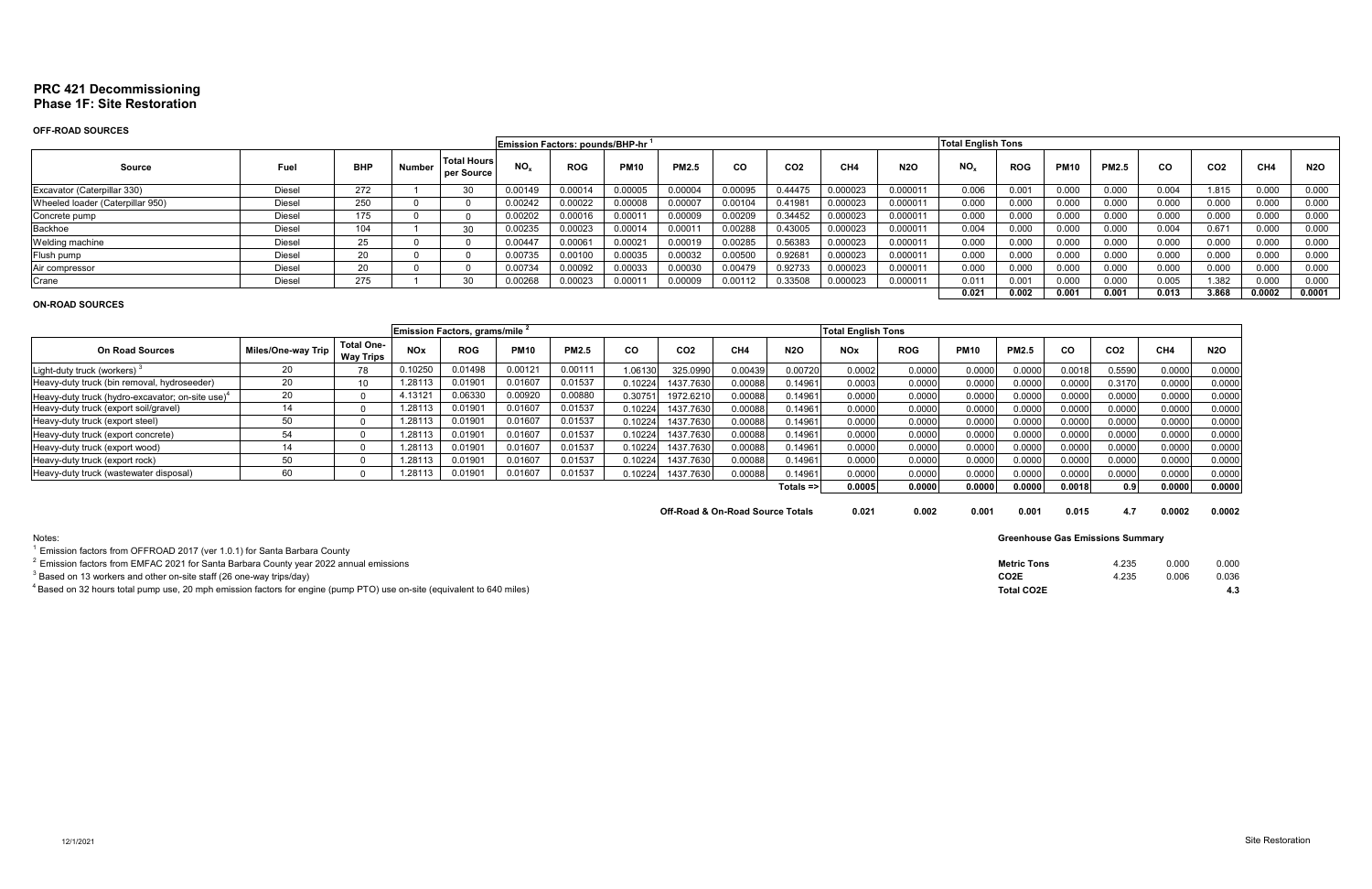# **PRC 421 Decommissioning Phase 1F: Site Restoration**

# **OFF-ROAD SOURCES**

|                                  |               |            |        |                                  |          | <b>Emission Factors: pounds/BHP-hr</b> |               |              |           |                 |                 |            | <b>Total English Tons</b> |                |             |              |       |                 |        |            |
|----------------------------------|---------------|------------|--------|----------------------------------|----------|----------------------------------------|---------------|--------------|-----------|-----------------|-----------------|------------|---------------------------|----------------|-------------|--------------|-------|-----------------|--------|------------|
| Source                           | Fuel          | <b>BHP</b> | Number | <b>Total Hours</b><br>per Source | NO.      | <b>ROG</b>                             | <b>PM10</b>   | <b>PM2.5</b> | <b>CO</b> | CO <sub>2</sub> | CH <sub>4</sub> | <b>N2O</b> | NO <sub>r</sub>           | <b>ROG</b>     | <b>PM10</b> | <b>PM2.5</b> | CO.   | CO <sub>2</sub> | CH4    | <b>N2O</b> |
| Excavator (Caterpillar 330)      | Diesel        | 272        |        | $\sim$                           | 0.00149  | 0.00014                                | 0.00005       | 0.00004      | 0.00095   | 0.4447'         | 0.000023        | 0.00001'   | 0.006                     | 0.00           | 0.000       | 0.000        | 0.004 | 1.815           | 0.000  | 0.000      |
| Wheeled loader (Caterpillar 950) | <b>Diesel</b> | 250        |        |                                  | 0.00242  | 0.00022                                | 0.00008       | 0.00007      | 0.0010    | 0.41981         | 0.000023        | 0.00001'   | 0.000                     | 0.000          | 0.000       | 0.000        | 0.000 | 0.000           | 0.000  | 0.000      |
| Concrete pump                    | Diesel        | 175        |        |                                  | 0.00202  | 0.00016                                | 0.0001        | 0.00009      | 0.00209   | 0.34452         | 0.000023        | 0.00001'   | 0.000                     | 0.000          | 0.000       | 0.000        | 0.000 | 0.000           | 0.000  | 0.000      |
| Backhoe                          | Diesel        | 104        |        | $\sim$                           | 0.00235  | 0.00023                                | 0.00014       | 0.00011      | 0.00288   | 0.43005         | 0.000023        | 0.000011   | 0.004                     | 0.000          | 0.000       | 0.000        | 0.004 | 0.671           | 0.000  | 0.000      |
| Welding machine                  | Diesel        | OE.<br>25  |        |                                  | 0.00447  | 0.00061                                | 0.0002        | 0.00019      | 0.00285   | 0.56383         | 0.000023        | 0.000011   | 0.000                     | 0.000          | 0.000       | 0.000        | 0.000 | 0.000           | 0.000  | 0.000      |
| Flush pump                       | Diesel        | $\sim$     |        |                                  | 0.00735  | 0.00100                                | 0.00035       | 0.00032      | 0.00500   | 0.92681         | 0.000023        | 0.00001'   | 0.000                     | 0.000          | 0.000       | 0.000        | 0.000 | 0.000           | 0.000  | 0.000      |
| Air compressor                   | Diesel        | nn.        |        |                                  | 0.00734  | 0.00092                                | 0.00033       | 0.00030      | 0.00479   | 0.92733         | 0.000023        | 0.00001    | 0.000                     | 0.000          | 0.000       | 0.000        | 0.000 | 0.000           | 0.000  | 0.000      |
| Crane                            | Diesel        | 275        |        |                                  | 00268. ( | 0.00023                                | $0.000^\circ$ | 0.00009      | 0.00112   | 1.33508         | 0.000023        | 0.00001    | 0.011                     | $0.00^{\circ}$ | 0.000       | 0.000        | 0.005 | .382            | 0.000  | 0.000      |
|                                  |               |            |        |                                  |          |                                        |               |              |           |                 |                 |            | 0.021                     | 0.002          | 0.001       | 0.001        | 0.013 | 3.868           | 0.0002 | 0.0001     |

## **ON-ROAD SOURCES**

| Emission Factors, grams/mile                                 |                    |                                       |            |            |             |              |           |                 |                 |              | <b>Total English Tons</b> |            |             |              |        |                 |                 |            |
|--------------------------------------------------------------|--------------------|---------------------------------------|------------|------------|-------------|--------------|-----------|-----------------|-----------------|--------------|---------------------------|------------|-------------|--------------|--------|-----------------|-----------------|------------|
| <b>On Road Sources</b>                                       | Miles/One-way Trip | <b>Total One-</b><br><b>Way Trips</b> | <b>NOx</b> | <b>ROG</b> | <b>PM10</b> | <b>PM2.5</b> | <b>CO</b> | CO <sub>2</sub> | CH <sub>4</sub> | <b>N2O</b>   | <b>NOx</b>                | <b>ROG</b> | <b>PM10</b> | <b>PM2.5</b> | CO     | CO <sub>2</sub> | CH <sub>4</sub> | <b>N2O</b> |
| Light-duty truck (workers)                                   |                    | 78                                    | 0.10250    | 0.01498    | 0.00121     | 0.00111      | 1.06130   | 325.0990        | 0.00439         | 0.00720      | 0.0002                    | 0.0000     | 0.0000      | 0.0000       | 0.0018 | 0.5590          | 0.0000          | 0.0000     |
| Heavy-duty truck (bin removal, hydroseeder)                  | 20                 | 10                                    | 1.28113    | 0.0190     | 0.01607     | 0.01537      | 0.10224   | 1437.7630       | 0.00088         | 0.14961      | 0.0003                    | 0.0000     | 0.0000      | 0.0000       | 0.0000 | 0.3170          | 0.0000          | 0.0000     |
| Heavy-duty truck (hydro-excavator: on-site use) <sup>4</sup> | 20                 |                                       | 4.13121    | 0.06330    | 0.00920     | 0.00880      | 0.30751   | 1972.621        | 0.00088         | 0.14961      | 0.0000                    | 0.0000     | 0.0000      | 0.0000       | 0.0000 | 0.0000          | 0.0000          | 0.0000     |
| Heavy-duty truck (export soil/gravel)                        |                    |                                       | 1.28113    | 0.0190     | 0.01607     | 0.01537      | 0.10224   | 1437.7630       | 0.00088         | 0.14961      | 0.0000                    | 0.0000     | 0.0000      | 0.0000       | 0.0000 | 0.0000          | 0.0000          | 0.0000     |
| Heavy-duty truck (export steel)                              |                    |                                       | .28113     | 0.0190     | 0.01607     | 0.01537      | 0.10224   | 1437.7630       | 0.00088         | 0.14961      | 0.0000                    | 0.0000     | 0.0000      | 0.0000       | 0.0000 | 0.0000          | 0.0000          | 0.0000     |
| Heavy-duty truck (export concrete)                           | 54                 |                                       | .28113     | 0.01901    | 0.01607     | 0.01537      | 0.10224   | 1437.7630       | 0.00088         | 0.14961      | 0.0000                    | 0.0000     | 0.0000      | 0.0000       | 0.0000 | 0.0000          | 0.0000          | 0.0000     |
| Heavy-duty truck (export wood)                               |                    |                                       | .28113     | 0.0190     | 0.01607     | 0.01537      | 0.10224   | 1437.7630       | 0.00088         | 0.14961      | 0.0000                    | 0.0000     | 0.0000      | 0.0000       | 0.0000 | 0.0000          | 0.0000          | 0.0000     |
| Heavy-duty truck (export rock)                               |                    |                                       | .28113     | 0.0190     | 0.01607     | 0.01537      | 0.10224   | 1437.7630       | 0.00088         | 0.14961      | 0.0000                    | 0.0000     | 0.0000      | 0.0000       | 0.0000 | 0.0000          | 0.0000          | 0.0000     |
| Heavy-duty truck (wastewater disposal)                       | 60                 |                                       | .28113     | 0.0190     | 0.01607     | 0.01537      | J.10224   | 1437.7630       | 0.00088         | 0.14961      | 0.0000                    | 0.0000     | 0.0000      | 0.0000       | 0.0000 | 0.0000          | 0.0000          | 0.0000     |
|                                                              |                    |                                       |            |            |             |              |           |                 |                 | $Totals = >$ | 0.0005                    | 0.0000     | 0.0000      | 0.0000       | 0.0018 | 0.9             | 0.0000          | 0.0000     |
|                                                              |                    |                                       |            |            |             |              |           |                 |                 |              |                           |            |             |              |        |                 |                 |            |

| Notes:                                                                                                                             | <b>Greenhouse Gas Emissions Summary</b> |       |                |       |
|------------------------------------------------------------------------------------------------------------------------------------|-----------------------------------------|-------|----------------|-------|
| Emission factors from OFFROAD 2017 (ver 1.0.1) for Santa Barbara County                                                            |                                         |       |                |       |
| $^2$ Emission factors from EMFAC 2021 for Santa Barbara County year 2022 annual emissions                                          | <b>Metric Tons</b>                      | 4.235 | 0.000          | 0.000 |
| <sup>3</sup> Based on 13 workers and other on-site staff (26 one-way trips/day)                                                    | CO <sub>2</sub> E                       | 4.235 | $0.00^{\circ}$ | 0.036 |
| <sup>4</sup> Based on 32 hours total pump use, 20 mph emission factors for engine (pump PTO) use on-site (equivalent to 640 miles) | <b>Total CO2E</b>                       |       |                |       |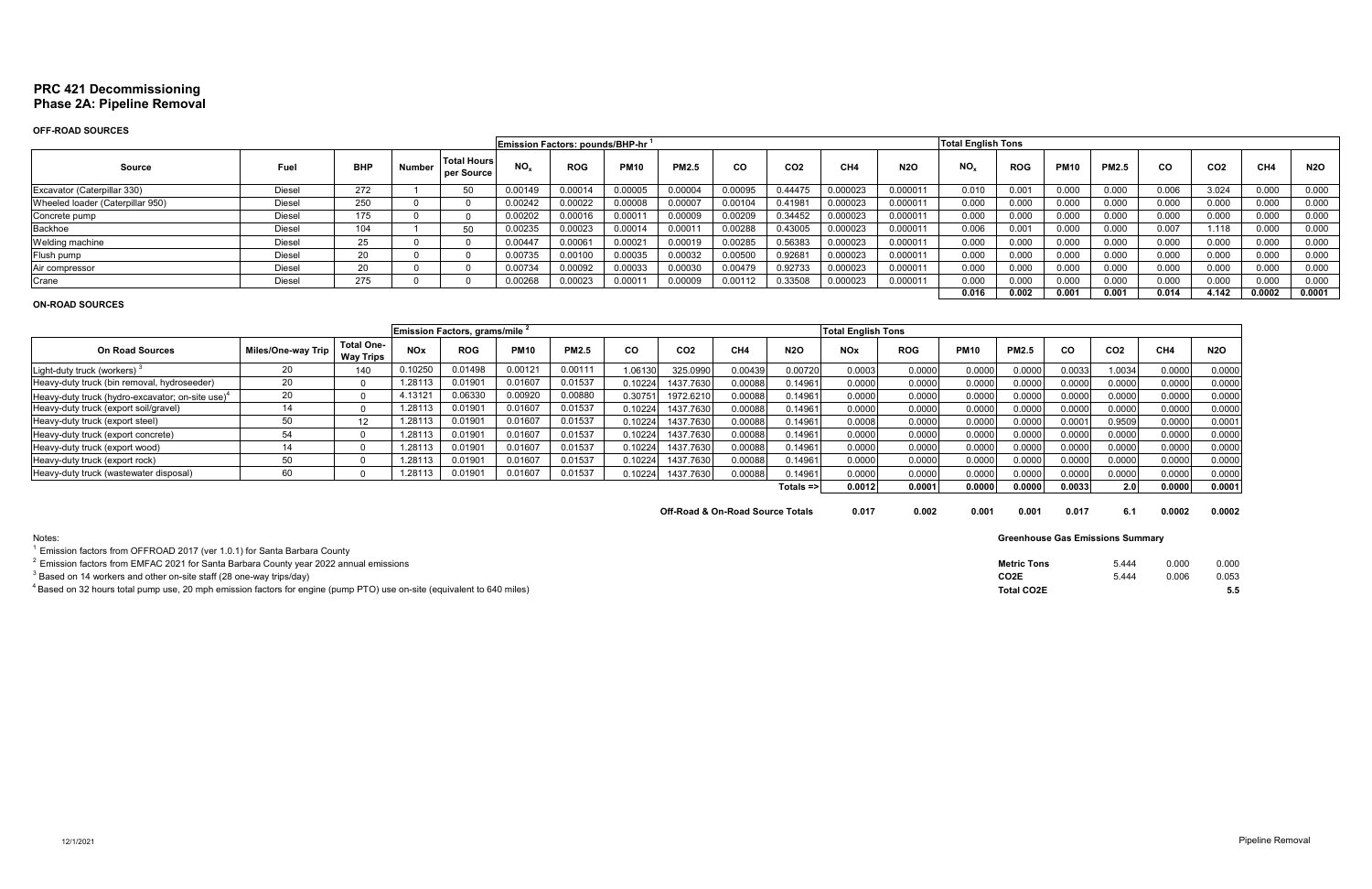# **PRC 421 Decommissioning Phase 2A: Pipeline Removal**

# **OFF-ROAD SOURCES**

|                                  |               |                  |        |                                  |          | Emission Factors: pounds/BHP-hr |                    |              |           |                 |                 |            | <b>Total English Tons</b> |                |             |              |       |                 |        |            |
|----------------------------------|---------------|------------------|--------|----------------------------------|----------|---------------------------------|--------------------|--------------|-----------|-----------------|-----------------|------------|---------------------------|----------------|-------------|--------------|-------|-----------------|--------|------------|
| <b>Source</b>                    | Fuel          | <b>BHF</b>       | Number | <b>Total Hours</b><br>per Source | $NO_{x}$ | <b>ROG</b>                      | <b>PM10</b>        | <b>PM2.5</b> | <b>CO</b> | CO <sub>2</sub> | CH <sub>4</sub> | <b>N2O</b> | NO <sub>x</sub>           | <b>ROG</b>     | <b>PM10</b> | <b>PM2.5</b> | CO.   | CO <sub>2</sub> | CH4    | <b>N2O</b> |
| Excavator (Caterpillar 330)      | <b>Diesel</b> | 272              |        | cΩ                               | 0.00149  | 0.0001                          | 0.00005            | 0.00004      | 0.00095   | 0.44475         | 0.000023        | 0.000011   | 0.010                     | 0.00           | 0.000       | 0.000        | 0.006 | 3.024           | 0.000  | 0.000      |
| Wheeled loader (Caterpillar 950) | <b>Diesel</b> | 250              |        |                                  | 0.00242  | 0.00022                         | 0.00008            | 0.00007      | 0.00104   | 0.41981         | 0.000023        | 0.000011   | 0.000                     | 0.000          | 0.000       | 0.000        | 0.000 | 0.000           | 0.000  | 0.000      |
| Concrete pump                    | <b>Diesel</b> | 175              |        |                                  | 0.00202  | 0.00016                         | 0.0001             | 0.00009      | 0.00209   | 0.34452         | 0.000023        | 0.000011   | 0.000                     | 0.000          | 0.000       | 0.000        | 0.000 | 0.000           | 0.000  | 0.000      |
| Backhoe                          | <b>Diese</b>  | 104              |        | c٨                               | 0.00235  | 0.00023                         | 0.00014            | 0.00011      | 0.00288   | 0.43005         | 0.000023        | 0.000011   | 0.006                     | $0.00^{\circ}$ | 0.000       | 0.000        | 0.007 | 1.118           | 0.000  | 0.000      |
| Welding machine                  | <b>Diese</b>  | $\sim$ $-$<br>دے |        |                                  | 0.00447  | 0.0006                          | 0.0002             | 0.00019      | 0.00285   | 0.56383         | 0.000023        | 0.000011   | 0.000                     | 0.000          | 0.000       | 0.000        | 0.000 | 0.000           | 0.000  | 0.000      |
| Flush pump                       | <b>Diese</b>  | nn.              |        |                                  | 0.00735  | 0.00100                         | 0.00035            | 0.00032      | 0.00500   | 0.92681         | 0.000023        | 0.00001    | 0.000                     | 0.000          | 0.000       | 0.000        | 0.000 | 0.000           | 0.000  | 0.000      |
| Air compressor                   | <b>Diesel</b> | nn.<br>۷J        |        |                                  | 0.00734  | 0.00092                         | 0.00033            | 0.00030      | 0.00479   | 0.92733         | 0.000023        | 0.00001    | 0.000                     | 0.000          | 0.000       | 0.000        | 0.000 | 0.000           | 0.000  | 0.000      |
| Crane                            | <b>Diese</b>  | 275              |        |                                  | 00266    | 0.00023                         | 0.000 <sub>1</sub> | 0.00009      | 0.00112   | 0.33508         | 0.000023        | 0.00001    | 0.000                     | 0.000          | 0.000       | 0.000        | 0.000 | 0.000           | 0.000  | 0.000      |
|                                  |               |                  |        |                                  |          |                                 |                    |              |           |                 |                 |            | 0.016                     | 0.002          | 0.001       | 0.001        | 0.014 | 4.142           | 0.0002 | 0.0001     |

## **ON-ROAD SOURCES**

|                                                 |                    |                                       |            | Emission Factors, grams/mile 2 |             |              |           |                 |                 |              | <b>Total English Tons</b> |            |             |              |           |                  |                 |            |
|-------------------------------------------------|--------------------|---------------------------------------|------------|--------------------------------|-------------|--------------|-----------|-----------------|-----------------|--------------|---------------------------|------------|-------------|--------------|-----------|------------------|-----------------|------------|
| <b>On Road Sources</b>                          | Miles/One-way Trip | <b>Total One-</b><br><b>Way Trips</b> | <b>NOx</b> | <b>ROG</b>                     | <b>PM10</b> | <b>PM2.5</b> | <b>CO</b> | CO <sub>2</sub> | CH <sub>4</sub> | <b>N2O</b>   | <b>NOx</b>                | <b>ROG</b> | <b>PM10</b> | <b>PM2.5</b> | <b>CO</b> | CO <sub>2</sub>  | CH <sub>4</sub> | <b>N2O</b> |
| Light-duty truck (workers)                      |                    | 140                                   | 0.10250    | 0.01498                        | 0.00121     | 0.00111      | 1.06130   | 325.0990        | 0.00439         | 0.00720      | 0.0003                    | 0.0000     | 0.0000      | 0.0000       | 0.0033    | 1.0034           | 0.0000          | 0.0000     |
| Heavy-duty truck (bin removal, hydroseeder)     | 20                 |                                       | 1.28113    | 0.0190                         | 0.01607     | 0.01537      | 0.10224   | 1437.7630       | 0.00088         | 0.14961      | 0.0000                    | 0.0000     | 0.0000      | 0.0000       | 0.0000    | 0.0000           | 0.0000          | 0.0000     |
| Heavy-duty truck (hydro-excavator; on-site use) | 20                 |                                       | 4.13121    | 0.06330                        | 0.00920     | 0.00880      | 0.3075    | 1972.621        | 0.00088         | 0.14961      | 0.0000                    | 0.0000     | 0.0000      | 0.0000       | 0.0000    | 0.0000           | 0.0000          | 0.0000     |
| Heavy-duty truck (export soil/gravel)           |                    |                                       | 1.28113    | 0.0190                         | 0.01607     | 0.01537      | 0.10224   | 1437.7630       | 0.00088         | 0.14961      | 0.0000                    | 0.0000     | 0.0000      | 0.0000       | 0.0000    | 0.0000           | 0.0000          | 0.0000     |
| Heavy-duty truck (export steel)                 |                    | 12                                    | .28113     | 0.0190                         | 0.01607     | 0.01537      | 0.10224   | 1437.7630       | 0.00088         | 0.14961      | 0.0008                    | 0.0000     | 0.0000      | 0.0000       | 0.0001    | 0.9509           | 0.0000          | 0.0001     |
| Heavy-duty truck (export concrete)              | 54                 |                                       | .28113     | 0.0190                         | 0.01607     | 0.01537      | 0.10224   | 1437.7630       | 0.00088         | 0.14961      | 0.0000                    | 0.0000     | 0.0000      | 0.000C       | 0.0000    | 0.0000           | 0.0000          | 0.0000     |
| Heavy-duty truck (export wood)                  |                    |                                       | .28113     | 0.0190                         | 0.01607     | 0.01537      | 0.10224   | 1437.7630       | 0.00088         | 0.14961      | 0.0000                    | 0.0000     | 0.0000      | 0.0000       | 0.0000    | 0.0000           | 0.0000          | 0.0000     |
| Heavy-duty truck (export rock)                  |                    |                                       | .28113     | 0.0190                         | 0.01607     | 0.01537      | 0.10224   | 1437.7630       | 0.00088         | 0.14961      | 0.0000                    | 0.0000     | 0.0000      | 0.0000       | 0.0000    | 0.0000           | 0.0000          | 0.0000     |
| Heavy-duty truck (wastewater disposal)          | 6C                 |                                       | .2811'     | 0.0190                         | 0.01607     | 0.01537      | .10224    | 1437.7630       | 0.00088         | 0.14961      | 0.0000                    | 0.0000     | 0.0000      | 0.0000       | 0.0000    | 0.0000           | 0.0000          | 0.0000     |
|                                                 |                    |                                       |            |                                |             |              |           |                 |                 | $Totals = >$ | 0.0012                    | 0.0001     | 0.0000      | 0.00001      | 0.0033    | 2.0 <sup>1</sup> | 0.0000          | 0.0001     |
|                                                 |                    |                                       |            |                                |             |              |           |                 |                 |              |                           |            |             |              |           |                  |                 |            |

| Off-Road & On-Road Source Totals | 0.017 | 0.002 | 0.001 | 0.001 | 0.017 | 0.0002 | 0.0002 |
|----------------------------------|-------|-------|-------|-------|-------|--------|--------|
|                                  |       |       |       |       |       |        |        |

| Notes:                                                                                                                     | <b>Greenhouse Gas Emissions Summary</b> |       |       |       |
|----------------------------------------------------------------------------------------------------------------------------|-----------------------------------------|-------|-------|-------|
| <sup>1</sup> Emission factors from OFFROAD 2017 (ver 1.0.1) for Santa Barbara County                                       |                                         |       |       |       |
| $^{\circ}$ Emission factors from EMFAC 2021 for Santa Barbara County year 2022 annual emissions                            | <b>Metric Tons</b>                      | 5.444 | 0.00f | 0.000 |
| <sup>3</sup> Based on 14 workers and other on-site staff (28 one-way trips/day)                                            | CO <sub>2</sub> E                       | 444 آ | 0.006 | 0.053 |
| $^4$ Based on 32 hours total pump use, 20 mph emission factors for engine (pump PTO) use on-site (equivalent to 640 miles) | <b>Total CO2E</b>                       |       |       |       |
|                                                                                                                            |                                         |       |       |       |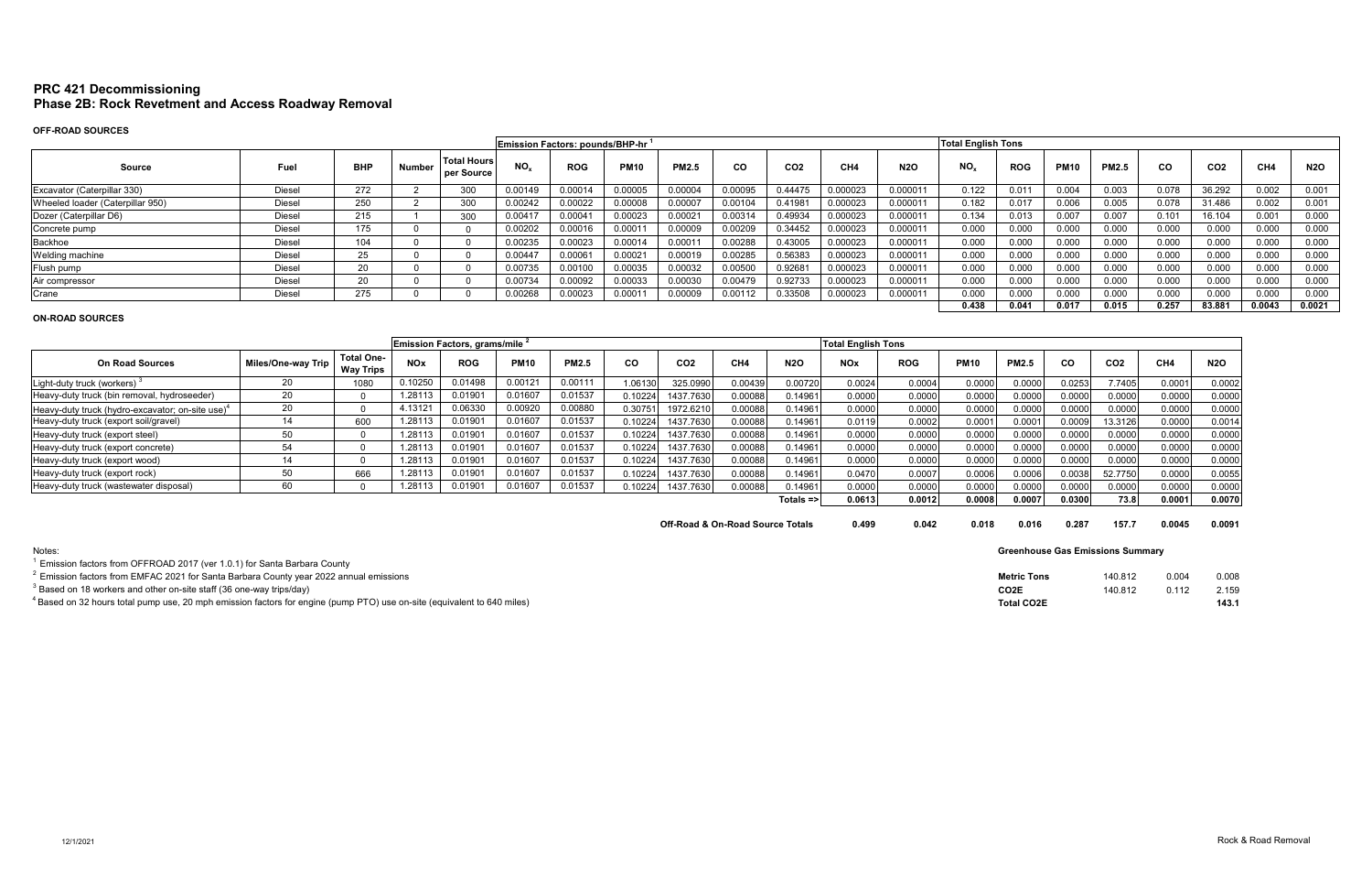# **PRC 421 Decommissioning Phase 2B: Rock Revetment and Access Roadway Removal**

# **OFF-ROAD SOURCES**

|                                  |               |            |        |                                  | <b>Total English Tons</b><br>Emission Factors: pounds/BHP-hr |            |             |              |           |                 |                 |            |                 |                |             |              |       |                 |        |            |
|----------------------------------|---------------|------------|--------|----------------------------------|--------------------------------------------------------------|------------|-------------|--------------|-----------|-----------------|-----------------|------------|-----------------|----------------|-------------|--------------|-------|-----------------|--------|------------|
| Source                           | Fuel          | <b>BHP</b> | Number | <b>Total Hours</b><br>per Source | NO.                                                          | <b>ROG</b> | <b>PM10</b> | <b>PM2.5</b> | <b>CO</b> | CO <sub>2</sub> | CH <sub>4</sub> | <b>N2O</b> | NO <sub>x</sub> | <b>ROG</b>     | <b>PM10</b> | <b>PM2.5</b> | CO.   | CO <sub>2</sub> | CH4    | <b>N2O</b> |
| Excavator (Caterpillar 330)      | <b>Diesel</b> | 272        |        | 300                              | 0.00149                                                      | 0.00014    | 0.00005     | 0.00004      | 0.00095   | 0.44475         | 0.000023        | 0.00001'   | 0.122           | 0.01           | 0.004       | 0.003        | 0.078 | 36.292          | 0.002  | 0.001      |
| Wheeled loader (Caterpillar 950) | <b>Diesel</b> | 250        |        | 300                              | 0.00242                                                      | 0.00022    | 0.00008     | 0.00007      | 0.0010    | 0.41981         | 0.000023        | 0.00001'   | 0.182           | 0.017          | 0.006       | 0.005        | 0.078 | 31.486          | 0.002  | 0.001      |
| Dozer (Caterpillar D6)           | Diesel        | 215        |        | 300                              | $0.0041^{-}$                                                 | 0.00041    | 0.00023     | 0.00021      | 0.00314   | 0.49934         | 0.000023        | 0.000011   | 0.134           | 0.013          | 0.007       | 0.007        | 0.101 | 16.104          | 0.001  | 0.000      |
| Concrete pump                    | Diesel        | 175        |        |                                  | J.00202                                                      | 0.00016    | 0.0001      | 0.00009      | 0.00209   | 0.34452         | 0.000023        | 0.000011   | 0.000           | 0.000          | 0.000       | 0.000        | 0.000 | 0.000           | 0.000  | 0.000      |
| Backhoe                          | Diesel        | 104        |        |                                  | 0.00235                                                      | 0.00023    | 0.00014     | 0.00011      | 0.00288   | 0.43005         | 0.000023        | 0.000011   | 0.000           | 0.000          | 0.000       | 0.000        | 0.000 | 0.000           | 0.000  | 0.000      |
| Welding machine                  | <b>Diesel</b> | 25         |        |                                  | 0.00447                                                      | 0.0006     | 0.0002      | 0.00019      | 0.00285   | 0.56383         | 0.000023        | 0.000011   | 0.000           | 0.000          | 0.000       | 0.000        | 0.000 | 0.000           | 0.000  | 0.000      |
| Flush pump                       | <b>Diesel</b> | $\sim$     |        |                                  | 0.00735                                                      | 0.00100    | 0.00035     | 0.00032      | 0.00500   | 0.92681         | 0.000023        | 0.00001    | 0.000           | 0.000          | 0.000       | 0.000        | 0.000 | 0.000           | 0.000  | 0.000      |
| Air compressor                   | Diesel        | nn.        |        |                                  | 0.00734                                                      | 0.00092    | 0.00033     | 0.00030      | 0.00479   | 0.92733         | 0.000023        | 0.000011   | 0.000           | 0.000          | 0.000       | 0.000        | 0.000 | 0.000           | 0.000  | 0.000      |
| Crane                            | Diesel        | 275        |        |                                  | 0.00268                                                      | 0.00023    | 0.0001      | 0.00009      | 0.00112   | 0.33508         | 0.000023        | 0.000011   | 0.000           | 0.000          | 0.000       | 0.000        | 0.000 | 0.000           | 0.000  | 0.000      |
|                                  |               |            |        |                                  |                                                              |            |             |              |           |                 |                 |            | 0.438           | $0.04^{\circ}$ | 0.017       | 0.015        | 0.257 | 83.881          | 0.0043 | 0.0021     |

# **ON-ROAD SOURCES**

| Emission Factors, grams/mile 2                      |                    |                                       |            |                    |             |              |         |                 |                 |              | <b>Total English Tons</b> |            |             |              |                    |                 |                 |            |
|-----------------------------------------------------|--------------------|---------------------------------------|------------|--------------------|-------------|--------------|---------|-----------------|-----------------|--------------|---------------------------|------------|-------------|--------------|--------------------|-----------------|-----------------|------------|
| <b>On Road Sources</b>                              | Miles/One-way Trip | <b>Total One-</b><br><b>Way Trips</b> | <b>NOx</b> | <b>ROG</b>         | <b>PM10</b> | <b>PM2.5</b> | CO      | CO <sub>2</sub> | CH <sub>4</sub> | <b>N2O</b>   | <b>NOx</b>                | <b>ROG</b> | <b>PM10</b> | <b>PM2.5</b> | <b>CO</b>          | CO <sub>2</sub> | CH <sub>4</sub> | <b>N2O</b> |
| Light-duty truck (workers)                          | 20                 | 1080                                  | 0.10250    | 01498              | 0.00121     | 0.00111      | 06130   | 325.0990        | 0.00439         | 0.00720      | 0.0024                    | 0.0004     | 0.0000      | 0.0000       | 0.0253             | 7.7405          | 0.0001          | 0.0002     |
| Heavy-duty truck (bin removal, hydroseeder)         | 20                 |                                       | 1.28113    | 0.01901            | 0.01607     | 0.01537      | 0.10224 | 1437.7630       | 0.00088         | 0.14961      | 0.0000                    | 0.0000     | 0.0000      | 0.0000       | 0.000              | 0.0000          | 0.0000          | 0.000C     |
| Heavy-duty truck (hydro-excavator; on-site use) $4$ | 20                 |                                       | 4.13121    | 06330              | 0.00920     | 0.00880      | 0.30751 | 1972.6210       | 0.00088         | 0.14961      | 0.0000                    | 0.0000     | 0.0000      | 0.0000       | 0.000              | 0.0000          | 0.0000          | 0.0000     |
| Heavy-duty truck (export soil/gravel)               | 14                 | 600                                   | 1.28113    | 0.01901            | 0.01607     | 0.01537      | 0.10224 | 1437.7630       | 0.00088         | 0.14961      | 0.0119                    | 0.0002     | 0.0001      | 0.000        | 0.0009             | 13.3126         | 0.0000          | 0.0014     |
| Heavy-duty truck (export steel)                     | 50                 |                                       | 1.28113    | .01901             | 0.01607     | 0.01537      | 0.10224 | 1437.7630       | 0.00088         | 0.14961      | 0.0000                    | 0.0000     | 0.0000      | 0.0000       | 0.000 <sup>0</sup> | 0.0000          | 0.0000          | 0.0000     |
| Heavy-duty truck (export concrete)                  |                    |                                       | 1.28113    | 0.01901            | 0.01607     | 0.01537      | 0.10224 | 1437.7630       | 0.00088         | 0.14961      | 0.0000                    | 0.0000     | 0.0000      | 0.000        | 0.000              | 0.0000          | 0.0000          | 0.0000     |
| Heavy-duty truck (export wood)                      | 14                 |                                       | 1.28113    | 01901.             | 0.01607     | 0.01537      | 0.10224 | 1437.7630       | 0.00088         | 0.14961      | 0.0000                    | 0.0000     | 0.0000      | 0.0000       | 0.0000             | 0.0000          | 0.0000          | 0.0000     |
| Heavy-duty truck (export rock)                      |                    | 666                                   | 1.28113    | 0.0190             | 0.01607     | 0.01537      | 0.10224 | 1437.7630       | 0.00088         | 0.14961      | 0.0470                    | 0.0007     | 0.0006      | 0.0006       | 0.0038             | 52.7750         | 0.0000          | 0.0055     |
| Heavy-duty truck (wastewater disposal)              | 60                 |                                       | 1.28113    | .0190 <sup>4</sup> | 0.01607     | 0.01537      | 0.10224 | 1437.7630       | 0.00088         | 0.14961      | 0.0000                    | 0.0000     | 0.0000      | 0.000        | 0.0000             | 0.0000          | 0.0000          | 0.0000     |
|                                                     |                    |                                       |            |                    |             |              |         |                 |                 | $Totals = >$ | 0.0613                    | 0.0012     | 0.0008      | 0.0007       | 0.0300             | 73.8I           | 0.0001          | 0.0070     |

**Off-Road & On-Road Source Totals 0.499 0.042 0.018** 

 $^1$  Emission factors from OFFROAD 2017 (ver 1.0.1) for Santa Barbara County

 $2$  Emission factors from EMFAC 2021 for Santa Barbara County year 2022 annual emissions

 $^3$  Based on 18 workers and other on-site staff (36 one-way trips/day)

 $^4$ Based on 32 hours total pump use, 20 mph emission factors for engine (pump PTO) use on-site (equivalent to 640 miles)

| 0.016 | 0.287 | 157.7 | 0.0045 | 0.0091 |
|-------|-------|-------|--------|--------|
|       |       |       |        |        |

|                               | <b>Metric Tons</b><br>CO <sub>2</sub> E | 140.812<br>140.812 | 0.004<br>0.112 | 0.008<br>2.159 |
|-------------------------------|-----------------------------------------|--------------------|----------------|----------------|
| ite (equivalent to 640 miles) | <b>Total CO2E</b>                       |                    |                | 143.1          |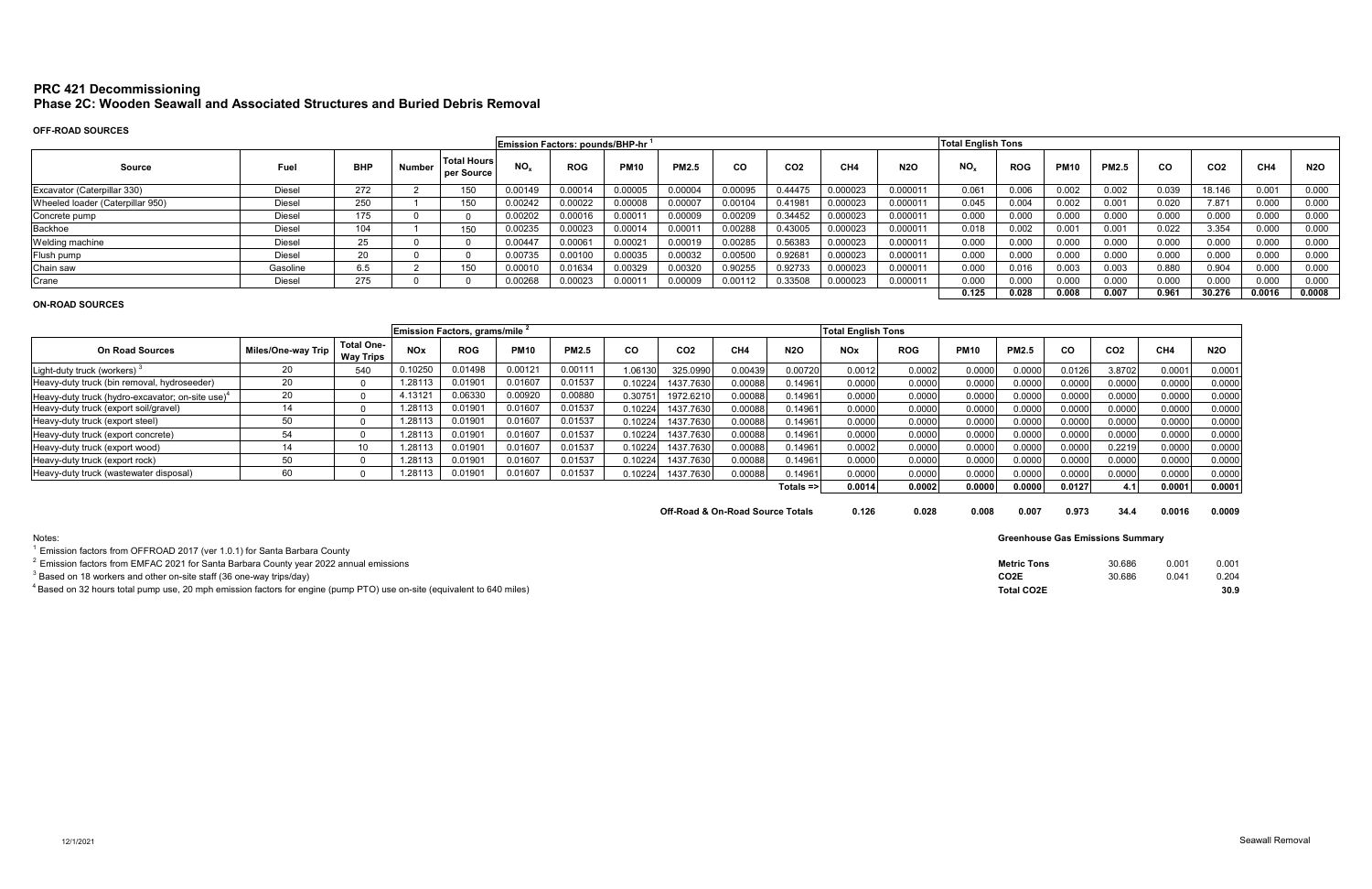# **PRC 421 Decommissioning Phase 2C: Wooden Seawall and Associated Structures and Buried Debris Removal**

# **OFF-ROAD SOURCES**

|                                  |               |                         |        |                                  |          | Emission Factors: pounds/BHP-hr <sup>1</sup> |             |              |           |                 |                 |            | <b>Total English Tons</b> |            |             |              |           |                 |        |            |
|----------------------------------|---------------|-------------------------|--------|----------------------------------|----------|----------------------------------------------|-------------|--------------|-----------|-----------------|-----------------|------------|---------------------------|------------|-------------|--------------|-----------|-----------------|--------|------------|
| Source                           | Fuel          | <b>BHP</b>              | Number | <b>Total Hours</b><br>per Source | $NO_{x}$ | <b>ROG</b>                                   | <b>PM10</b> | <b>PM2.5</b> | <b>CO</b> | CO <sub>2</sub> | CH <sub>4</sub> | <b>N2O</b> | NO <sub>x</sub>           | <b>ROG</b> | <b>PM10</b> | <b>PM2.5</b> | <b>CO</b> | CO <sub>2</sub> | CH4    | <b>N2O</b> |
| Excavator (Caterpillar 330)      | Diese         | 272                     |        | 150                              | 0.00149  | 0.00014                                      | 0.00005     | 0.00004      | 0.00095   | 0.44475         | 0.000023        | 0.000011   | 0.061                     | 0.006      | 0.002       | 0.002        | 0.039     | 18.146          | 0.001  | 0.000      |
| Wheeled loader (Caterpillar 950) | Diese         | 250                     |        | 150                              | 0.00242  | 0.00022                                      | 0.00008     | 0.00007      | 0.00104   | 0.41981         | 0.000023        | 0.000011   | 0.045                     | 0.004      | 0.002       | 0.001        | 0.020     | 7.871           | 0.000  | 0.000      |
| Concrete pump                    | <b>Diesel</b> | $\rightarrow -$<br>175. |        |                                  | 0.00202  | 0.00016                                      | 0.0001      | 0.00009      | 0.00209   | 0.34452         | 0.000023        | 0.000011   | 0.000                     | 0.000      | 0.000       | 0.000        | 0.000     | 0.000           | 0.000  | 0.000      |
| Backhoe                          | <b>Diese</b>  | 104                     |        | 150                              | 0.00235  | 0.00023                                      | 0.00014     | 0.00011      | 0.00288   | 0.43005         | 0.000023        | 0.000011   | 0.018                     | 0.002      | 0.001       | 0.001        | 0.022     | 3.354           | 0.000  | 0.000      |
| Welding machine                  | Diese         | $\sim$ $-$              |        |                                  | 0.00447  | 0.0006                                       | 0.00021     | 0.00019      | 0.00285   | 0.56383         | 0.000023        | 0.000011   | 0.000                     | 0.000      | 0.000       | 0.000        | 0.000     | 0.000           | 0.000  | 0.000      |
| Flush pump                       | Diese         | $\sim$                  |        |                                  | 0.00735  | 0.00100                                      | 0.00035     | 0.00032      | 0.00500   | 0.9268          | 0.000023        | 0.000011   | 0.000                     | 0.000      | 0.000       | 0.000        | 0.000     | 0.000           | 0.000  | 0.000      |
| Chain saw                        | Gasoline      | 6.5                     |        | 150                              | 0.00010  | 0.01634                                      | 0.00329     | 0.00320      | 0.90255   | 0.92733         | 0.000023        | 0.000011   | 0.000                     | 0.016      | 0.003       | 0.003        | 0.880     | 0.904           | 0.000  | 0.000      |
| Crane                            | Diese         | 275                     |        |                                  | 0.00268  | 0.00023                                      | 0.0001      | 0.00009      | 00112. ١  | 0.33508         | <b>0.000023</b> | 0.000011   | 0.000                     | 0.000      | 0.000       | 0.000        | 0.000     | 0.000           | 0.000  | 0.000      |
|                                  |               |                         |        |                                  |          |                                              |             |              |           |                 |                 |            | 0.125                     | 0.028      | 0.008       | 0.007        | 0.961     | 30.276          | 0.0016 | 0.0008     |

## **ON-ROAD SOURCES**

|                                                              |                    |                                       |            | Emission Factors, grams/mile 2 |             |              |          |                 |         |              | <b>Total English Tons</b> |            |             |              |        |                 |        |            |
|--------------------------------------------------------------|--------------------|---------------------------------------|------------|--------------------------------|-------------|--------------|----------|-----------------|---------|--------------|---------------------------|------------|-------------|--------------|--------|-----------------|--------|------------|
| <b>On Road Sources</b>                                       | Miles/One-way Trip | <b>Total One-</b><br><b>Way Trips</b> | <b>NOx</b> | <b>ROG</b>                     | <b>PM10</b> | <b>PM2.5</b> | CO       | CO <sub>2</sub> | CH4     | <b>N2O</b>   | <b>NOx</b>                | <b>ROG</b> | <b>PM10</b> | <b>PM2.5</b> | CO.    | CO <sub>2</sub> | CH4    | <b>N2O</b> |
| Light-duty truck (workers)                                   |                    | 540                                   | 0.10250    | 0.01498                        | 0.00121     | 0.00111      | 1.06130  | 325.0990        | 0.00439 | 0.00720      | 0.0012                    | 0.0002     | 0.0000      | 0.0000       | 0.0126 | 3.8702          | 0.0001 | 0.0001     |
| Heavy-duty truck (bin removal, hydroseeder)                  | 20                 |                                       | 1.28113    | 0.0190                         | 0.01607     | 0.01537      | 0.102241 | 1437.7630       | 0.00088 | 0.14961      | 0.0000                    | 0.0000     | 0.0000      | 0.0000       | 0.000C | 0.0000          | 0.0000 | 0.0000     |
| Heavy-duty truck (hydro-excavator; on-site use) <sup>4</sup> | n٢                 |                                       | 4.13121    | 0.06330                        | 0.00920     | 0.00880      | 0.30751  | 1972.621        | 0.00088 | 0.14961      | 0.0000                    | 0.0000     | 0.0000      | 0.0000       | 0.000C | 0.0000          | 0.0000 | 0.0000     |
| Heavy-duty truck (export soil/gravel)                        |                    |                                       | 1.28113    | 0.0190                         | 0.01607     | 0.01537      | 0.10224  | 1437.7630       | 0.00088 | 0.14961      | 0.0000                    | 0.0000     | 0.0000      | 0.0000       | 0.0000 | 0.0000          | 0.0000 | 0.0000     |
| Heavy-duty truck (export steel)                              |                    |                                       | 1.28113    | 0.0190                         | 0.01607     | 0.01537      | 0.10224  | 1437.7630       | 0.00088 | 0.14961      | 0.0000                    | 0.0000     | 0.0000      | 0.0000       | 0.0000 | 0.0000          | 0.0000 | 0.0000     |
| Heavy-duty truck (export concrete)                           | 54                 |                                       | 1.28113    | 0.0190                         | 0.01607     | 0.01537      | 0.10224  | 1437.7630       | 0.00088 | 0.14961      | 0.0000                    | 0.0000     | 0.0000      | 0.0000       | 0.000C | 0.0000          | 0.0000 | 0.0000     |
| Heavy-duty truck (export wood)                               |                    | 10                                    | 1.28113    | $0.0190\mathrm{^{\circ}}$      | 0.01607     | 0.01537      | 0.10224  | 1437.7630       | 0.00088 | 0.14961      | 0.0002                    | 0.0000     | 0.0000      | 0.0000       | 0.000C | 0.2219          | 0.0000 | 0.0000     |
| Heavy-duty truck (export rock)                               |                    |                                       | 1.28113    | 0.0190                         | 0.01607     | 0.01537      | 0.10224  | 1437.7630       | 0.00088 | 0.14961      | 0.0000                    | 0.0000     | 0.0000      | 0.0000       | 0.0000 | 0.0000          | 0.0000 | 0.0000     |
| Heavy-duty truck (wastewater disposal)                       | 60                 |                                       | .28113     | 0.0190                         | 0.01607     | 0.01537      | 0.102241 | 1437.7630       | 0.00088 | 0.14961      | 0.0000                    | 0.0000     | 0.0000      | 0.0000       | 0.0000 | 0.0000          | 0.0000 | 0.0000     |
|                                                              |                    |                                       |            |                                |             |              |          |                 |         | $Totals = >$ | 0.0014                    | 0.0002     | 0.0000      | 0.00001      | 0.0127 | 4.1             | 0.0001 | 0.0001     |

**Off-Road & On-Road Source Totals**  $0.126$  **0.028 0.008** 

Notes:

 $^1$  Emission factors from OFFROAD 2017 (ver 1.0.1) for Santa Barbara County

2 Emission factors from EMFAC 2021 for Santa Barbara County year 2022 annual emissions

 $^3$  Based on 18 workers and other on-site staff (36 one-way trips/day)

 $^4$ Based on 32 hours total pump use, 20 mph emission factors for engine (pump PTO) use on-site (equivalent to 640 miles)

| 0.007 | 0.973 | 34.4 | 0.0016 | 0.0009 |
|-------|-------|------|--------|--------|
|       |       |      |        |        |

| <b>Metric Tons</b> | 30.686 | 0.001 | 0.001 |
|--------------------|--------|-------|-------|
| CO <sub>2E</sub>   | 30.686 | 0.041 | 0.204 |
| <b>Total CO2E</b>  |        |       | 30.9  |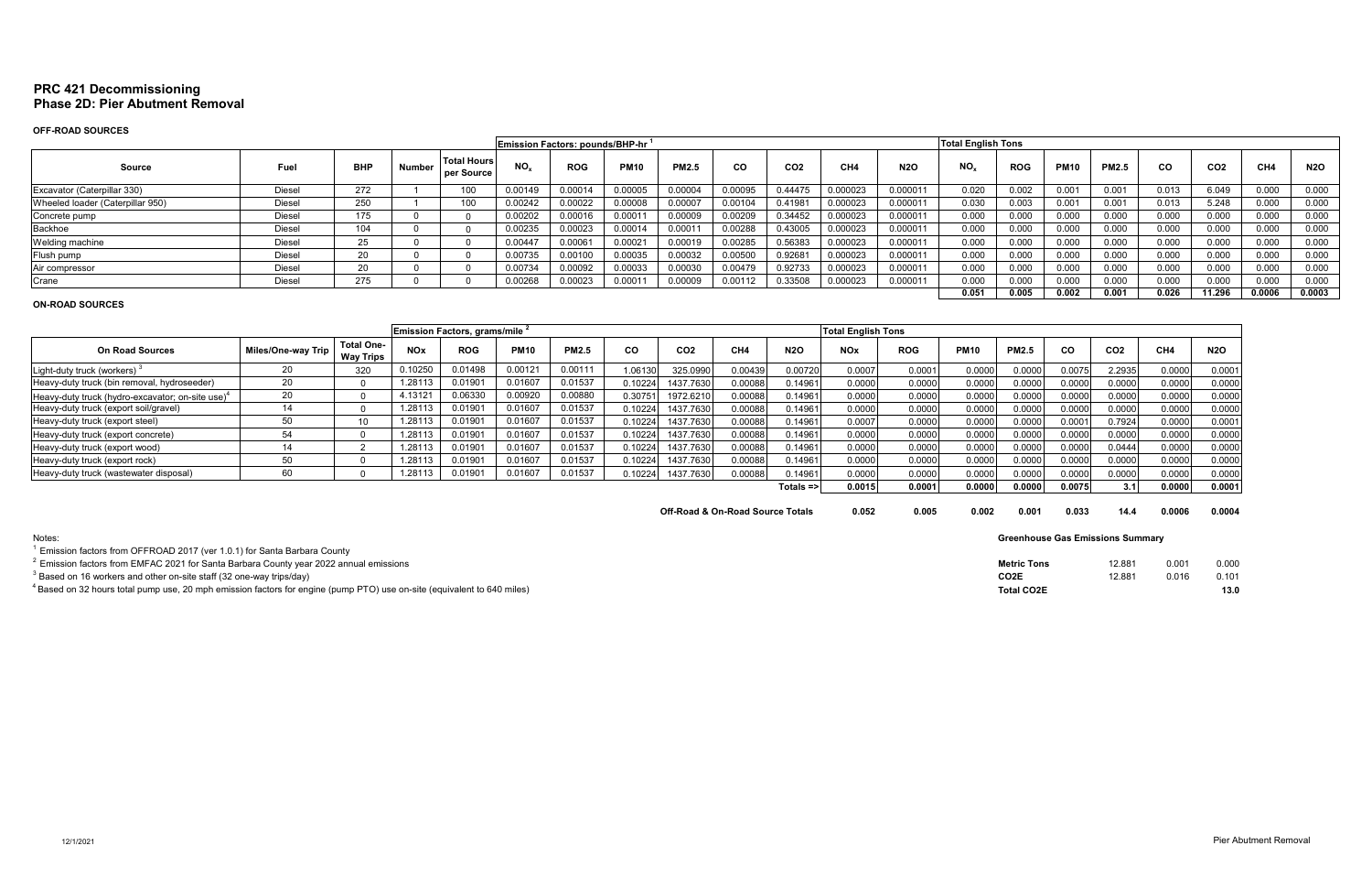# **PRC 421 Decommissioning Phase 2D: Pier Abutment Removal**

# **OFF-ROAD SOURCES**

|                                  |               |            |        |                                  | <b>Emission Factors: pounds/BHP-hr</b>                                                                                        | <b>Total English Tons</b> |                  |         |         |         |          |          |       |            |             |              |       |                 |        |            |
|----------------------------------|---------------|------------|--------|----------------------------------|-------------------------------------------------------------------------------------------------------------------------------|---------------------------|------------------|---------|---------|---------|----------|----------|-------|------------|-------------|--------------|-------|-----------------|--------|------------|
| Source                           | Fuel          | <b>BHP</b> | Number | <b>Total Hours</b><br>per Source | NO <sub>x</sub><br><b>N2O</b><br><b>ROG</b><br><b>PM10</b><br><b>PM2.5</b><br>CH <sub>4</sub><br><b>CO</b><br>CO <sub>2</sub> |                           |                  |         |         |         |          |          |       | <b>ROG</b> | <b>PM10</b> | <b>PM2.5</b> | CO.   | CO <sub>2</sub> | CH4    | <b>N2O</b> |
| Excavator (Caterpillar 330)      | Diesel        | 272        |        | 100                              | 0.00149                                                                                                                       | 0.00014                   | 0.00005          | 0.00004 | 0.00095 | 0.44475 | 0.000023 | 0.000011 | 0.020 | 0.002      | 0.001       | 0.001        | 0.013 | 6.049           | 0.000  | 0.000      |
| Wheeled loader (Caterpillar 950) | Diesel        | 250        |        | 100                              | 0.00242                                                                                                                       | 0.00022                   | 0.00008          | 0.00007 | 0.00104 | 0.41981 | 0.000023 | 0.000011 | 0.030 | 0.003      | 0.001       | 0.001        | 0.013 | 5.248           | 0.000  | 0.000      |
| Concrete pump                    | Diesel        | 175        |        |                                  | 0.00202                                                                                                                       | 0.00016                   | 0.0001           | 0.00009 | 0.00209 | 0.34452 | 0.000023 | 0.000011 | 0.000 | 0.000      | 0.000       | 0.000        | 0.000 | 0.000           | 0.000  | 0.000      |
| Backhoe                          | <b>Diese</b>  | 104        |        |                                  | 0.00235                                                                                                                       | 0.00023                   | 0.00014          | 0.00011 | 0.00288 | 0.43005 | 0.000023 | 0.000011 | 0.000 | 0.000      | 0.000       | 0.000        | 0.000 | 0.000           | 0.000  | 0.000      |
| Welding machine                  | <b>Diese</b>  | 25         |        |                                  | 0.00447                                                                                                                       | $0.0006^\circ$            | 0.0002           | 0.00019 | 0.00285 | 0.56383 | 0.000023 | 0.000011 | 0.000 | 0.000      | 0.000       | 0.000        | 0.000 | 0.000           | 0.000  | 0.000      |
| Flush pump                       | Diesel        | 20         |        |                                  | 0.00735                                                                                                                       | 0.00100                   | 0.00035          | 0.00032 | 0.00500 | 0.92681 | 0.000023 | 0.000011 | 0.000 | 0.000      | 0.000       | 0.000        | 0.000 | 0.000           | 0.000  | 0.000      |
| Air compressor                   | Diesel        | 20         |        |                                  | 0.00734                                                                                                                       | 0.00092                   | 0.00033          | 0.00030 | 0.00479 | 0.92733 | 0.000023 | 0.000011 | 0.000 | 0.000      | 0.000       | 0.000        | 0.000 | 0.000           | 0.000  | 0.000      |
| Crane                            | <b>Diesel</b> | 275        |        |                                  | 0.00268                                                                                                                       | 0.00023                   | 000 <sub>1</sub> | 0.00009 | 0.00112 | 0.33508 | 0.000023 | 0.000011 | 0.000 | 0.000      | 0.000       | 0.000        | 0.000 | 0.000           | 0.000  | 0.000      |
|                                  |               |            |        |                                  |                                                                                                                               |                           |                  |         |         |         |          |          | 0.051 | 0.005      | 0.002       | 0.001        | 0.026 | 11.296          | 0.0006 | 0.0003     |

## **ON-ROAD SOURCES**

| Emission Factors, grams/mile                                 |                    |                                       |            |            |             |              |         |                 |         |              | <b>Total English Tons</b> |            |             |              |                    |                 |                 |            |
|--------------------------------------------------------------|--------------------|---------------------------------------|------------|------------|-------------|--------------|---------|-----------------|---------|--------------|---------------------------|------------|-------------|--------------|--------------------|-----------------|-----------------|------------|
| <b>On Road Sources</b>                                       | Miles/One-way Trip | <b>Total One-</b><br><b>Way Trips</b> | <b>NOx</b> | <b>ROG</b> | <b>PM10</b> | <b>PM2.5</b> | CO      | CO <sub>2</sub> | CH4     | <b>N2O</b>   | <b>NOx</b>                | <b>ROG</b> | <b>PM10</b> | <b>PM2.5</b> | <b>CO</b>          | CO <sub>2</sub> | CH <sub>4</sub> | <b>N2O</b> |
| Light-duty truck (workers)                                   | 20                 | 320                                   | 0.10250    | 0.01498    | 0.00121     | 0.00111      | 1.06130 | 325.0990        | 0.00439 | 0.00720      | 0.000                     | 0.0001     | 0.0000      | 0.0000       | 0.0075             | 2.2935          | 0.0000          | 0.0001     |
| Heavy-duty truck (bin removal, hydroseeder)                  | 20                 |                                       | .28113     | 0.0190     | 0.01607     | 0.01537      | 0.10224 | 1437.7630       | 0.00088 | 0.14961      | 0.0000                    | 0.0000     | 0.0000      | 0.000C       | 0.0000             | 0.0000          | 0.0000          | 0.0000     |
| Heavy-duty truck (hydro-excavator; on-site use) <sup>4</sup> | 20                 |                                       | 4.13121    | 0.06330    | 0.00920     | 0.00880      | 0.3075  | 1972.6210       | 0.00088 | 0.14961      | 0.0000                    | 0.0000     | 0.0000      | 0.0000       | 0.0000             | 0.0000          | 0.0000          | 0.0000     |
| Heavy-duty truck (export soil/gravel)                        |                    |                                       | .28113     | 0.0190     | 0.01607     | 0.01537      | 0.10224 | 1437.7630       | 0.00088 | 0.14961      | 0.0000                    | 0.0000     | 0.0000      | 0.0000       | 0.0000             | 0.0000          | 0.0000          | 0.0000     |
| Heavy-duty truck (export steel)                              | 50                 | 10                                    | 1.28113    | 0.01901    | 0.01607     | 0.01537      | 0.10224 | 1437.7630       | 0.00088 | 0.14961      | 0.0007                    | 0.0000     | 0.0000      | 0.0000       | 0.000 <sub>1</sub> | 0.7924          | 0.0000          | 0.0001     |
| Heavy-duty truck (export concrete)                           |                    |                                       | .28113     | 0.0190     | 0.01607     | 0.01537      | 0.10224 | 1437.7630       | 0.00088 | 0.14961      | 0.0000                    | 0.0000     | 0.0000      | 0.0000       | 0.0000             | 0.0000          | 0.0000          | 0.0000     |
| Heavy-duty truck (export wood)                               |                    |                                       | .28113     | 0.0190     | 0.01607     | 0.01537      | 0.10224 | 1437.7630       | 0.00088 | 0.14961      | 0.0000                    | 0.0000     | 0.0000      | 0.0000       | 0.0000             | 0.0444          | 0.0000          | 0.0000     |
| Heavy-duty truck (export rock)                               |                    |                                       | .28113     | 0.0190     | 0.01607     | 0.01537      | 0.10224 | 1437.7630       | 0.00088 | J.14961      | 0.0000                    | 0.0000     | 0.0000      | 0.000        | 0.0000             | 0.0000          | 0.0000          | 0.0000     |
| Heavy-duty truck (wastewater disposal)                       |                    |                                       | .28113     | 0.0190'    | 0.01607     | 0.01537      | 0.10224 | 1437.7630       | 0.00088 | 0.14961      | 0.0000                    | 0.0000     | 0.0000      | 0.0000       | 0.0000             | 0.0000          | 0.0000          | 0.0000     |
|                                                              |                    |                                       |            |            |             |              |         |                 |         | $Totals = >$ | 0.0015                    | 0.0001     | 0.0000      | 0.0000       | 0.0075             | 3.11            | 0.0000          | 0.0001     |

**Off-Road & On-Road Source Totals**  $0.052$  **0.005 0.002** 

| Notes:                                                                                                                  |  |
|-------------------------------------------------------------------------------------------------------------------------|--|
| Emission factors from OFFROAD 2017 (ver 1.0.1) for Santa Barbara County                                                 |  |
| $^{\circ}$ Emission factors from EMFAC 2021 for Santa Barbara County year 2022 annual emissions                         |  |
| $^3$ Based on 16 workers and other on-site staff (32 one-way trips/day)                                                 |  |
| 4 Based on 32 hours total pump use, 20 mph emission factors for engine (pump PTO) use on-site (equivalent to 640 miles) |  |
|                                                                                                                         |  |

| 0.001 | 0.033 | 14.4 | 0.0006 | 0.0004 |
|-------|-------|------|--------|--------|
|       |       |      |        |        |

| <b>Metric Tons</b> | 12.881 | 0.001 | 0.000 |
|--------------------|--------|-------|-------|
| CO <sub>2</sub> E  | 12.881 | 0.016 | 0.101 |
| <b>Total CO2E</b>  |        |       | 13.0  |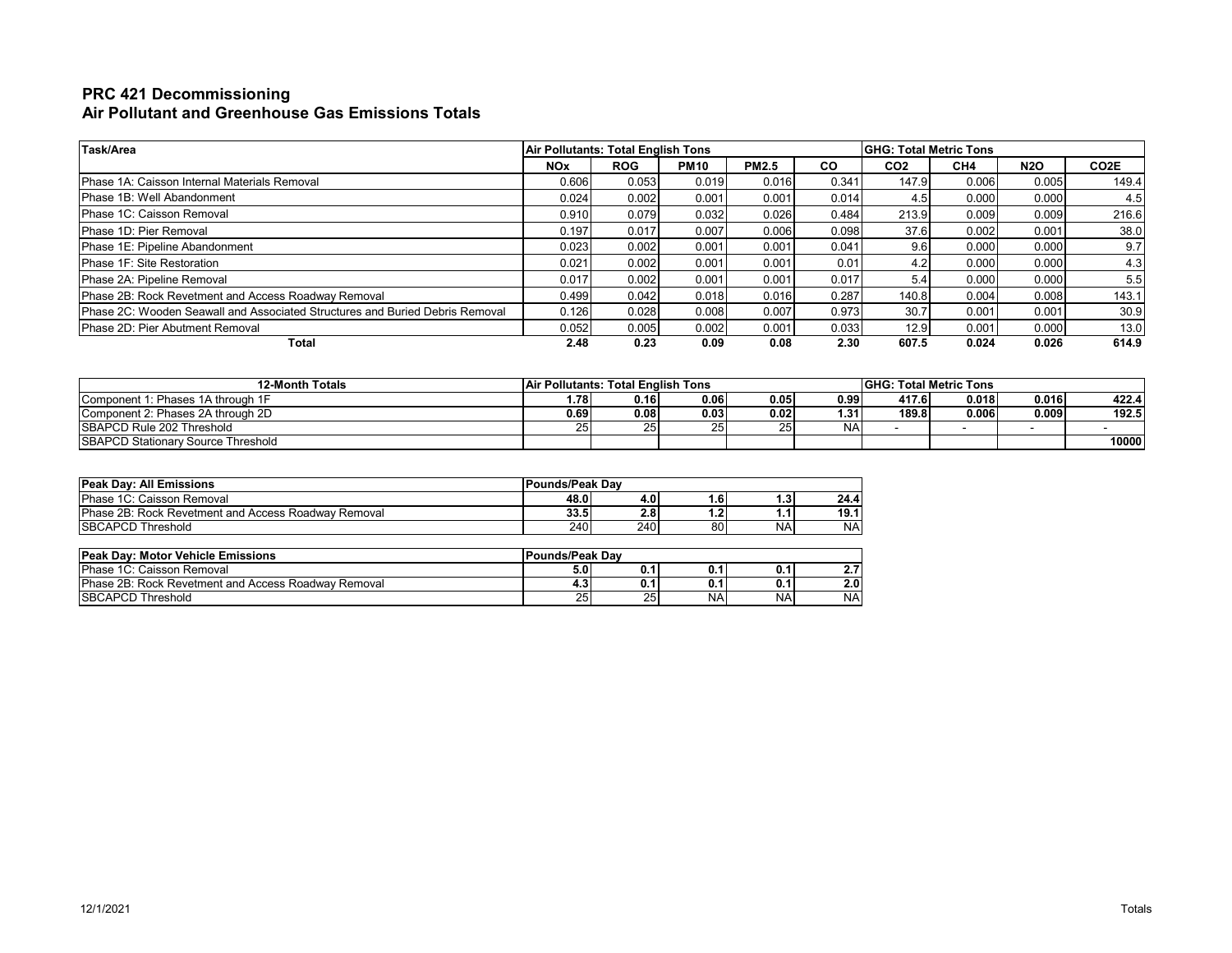# **PRC 421 Decommissioning Air Pollutant and Greenhouse Gas Emissions Totals**

| Task/Area                                                                           | <b>Air Pollutants: Total English Tons</b> |            |             |              |           | <b>IGHG: Total Metric Tons</b> |       |            |                   |  |  |  |
|-------------------------------------------------------------------------------------|-------------------------------------------|------------|-------------|--------------|-----------|--------------------------------|-------|------------|-------------------|--|--|--|
|                                                                                     | <b>NOx</b>                                | <b>ROG</b> | <b>PM10</b> | <b>PM2.5</b> | <b>CO</b> | CO <sub>2</sub>                | CH4   | <b>N2O</b> | CO <sub>2</sub> E |  |  |  |
| Phase 1A: Caisson Internal Materials Removal                                        | 0.606                                     | 0.053      | 0.019       | 0.016        | 0.341     | 147.9                          | 0.006 | 0.005      | 149.4             |  |  |  |
| Phase 1B: Well Abandonment                                                          | 0.024                                     | 0.002      | 0.001       | 0.001        | 0.014     | 4.5                            | 0.000 | 0.000      | 4.5               |  |  |  |
| Phase 1C: Caisson Removal                                                           | 0.910                                     | 0.079      | 0.032       | 0.026        | 0.484     | 213.9                          | 0.009 | 0.009      | 216.6             |  |  |  |
| <b>IPhase 1D: Pier Removal</b>                                                      | 0.197                                     | 0.017      | 0.007       | 0.006        | 0.098     | 37.6                           | 0.002 | 0.001      | 38.0              |  |  |  |
| Phase 1E: Pipeline Abandonment                                                      | 0.023                                     | 0.002      | 0.001       | 0.001        | 0.041     | 9.6                            | 0.000 | 0.000      | 9.7               |  |  |  |
| Phase 1F: Site Restoration                                                          | 0.021                                     | 0.002      | 0.001       | 0.001        | 0.01      | 4.2                            | 0.000 | 0.000      | 4.3               |  |  |  |
| Phase 2A: Pipeline Removal                                                          | 0.017                                     | 0.002      | 0.001       | 0.001        | 0.017     |                                | 0.000 | 0.000      | 5.5               |  |  |  |
| Phase 2B: Rock Revetment and Access Roadway Removal                                 | 0.499                                     | 0.042      | 0.018       | 0.016        | 0.287     | 140.8                          | 0.004 | 0.008      | 143.1             |  |  |  |
| <b>Phase 2C: Wooden Seawall and Associated Structures and Buried Debris Removal</b> | 0.126                                     | 0.028      | 0.008       | 0.007        | 0.973     | 30.7                           | 0.001 | 0.001      | 30.9              |  |  |  |
| Phase 2D: Pier Abutment Removal                                                     | 0.052                                     | 0.005      | 0.002       | 0.001        | 0.033     | 12.9                           | 0.001 | 0.000      | 13.0              |  |  |  |
| Total                                                                               | 2.48                                      | 0.23       | 0.09        | 0.08         | 2.30      | 607.5                          | 0.024 | 0.026      | 614.9             |  |  |  |

| <b>12-Month Totals</b>                    | <b>Air Pollutants: Total English Tons</b> |      |                |       |                   | <b>IGHG: Total Metric Tons</b> |         |       |       |  |  |  |  |
|-------------------------------------------|-------------------------------------------|------|----------------|-------|-------------------|--------------------------------|---------|-------|-------|--|--|--|--|
| Component 1: Phases 1A through 1F         | ا78.،                                     | 0.16 | 0.06           | 0.05  | 0.99 <sub>1</sub> | 417.6                          | 0.018   | 0.016 | 422.4 |  |  |  |  |
| Component 2: Phases 2A through 2D         | 0.69 I                                    | 0.08 | 0.03           | 0.021 | 1.31              | 189.8                          | ا 006.ر | 0.009 | 192.5 |  |  |  |  |
| SBAPCD Rule 202 Threshold                 | 25                                        | 25   | $\sim$<br>25 L | 25 I  | NAI               |                                |         |       |       |  |  |  |  |
| <b>SBAPCD Stationary Source Threshold</b> |                                           |      |                |       |                   |                                |         |       | 10000 |  |  |  |  |

| <b>Peak Day: All Emissions</b>                              | <b>Pounds/Peak Dav</b> |                  |         |     |           |  |  |  |  |  |
|-------------------------------------------------------------|------------------------|------------------|---------|-----|-----------|--|--|--|--|--|
| Phase 1C: Caisson Removal                                   | 48.0                   | 4.0              | 1.6     | 1.3 | 24.4      |  |  |  |  |  |
| <b>IPhase 2B: Rock Revetment and Access Roadway Removal</b> | 33.5                   | 2.8 <sub>1</sub> | ◠<br>٠. | . . | 19.1      |  |  |  |  |  |
| <b>ISBCAPCD Threshold</b>                                   | 240                    | 240              | 80      | NA  | <b>NA</b> |  |  |  |  |  |

| <b>Peak Day: Motor Vehicle Emissions</b>                   | <b>Pounds/Peak Dav</b> |     |      |           |           |
|------------------------------------------------------------|------------------------|-----|------|-----------|-----------|
| <b>IPhase 1C: Caisson Removal</b>                          | 5.0                    | 0.1 | 0.   | ึ บ.า     | . .       |
| <b>Phase 2B: Rock Revetment and Access Roadway Removal</b> | 4.J                    | 0.1 | 0. . | U. 1      | 2.0       |
| <b>ISBCAPCD Threshold</b>                                  | ΩE<br>-45              | 25  | NA.  | <b>NA</b> | <b>NA</b> |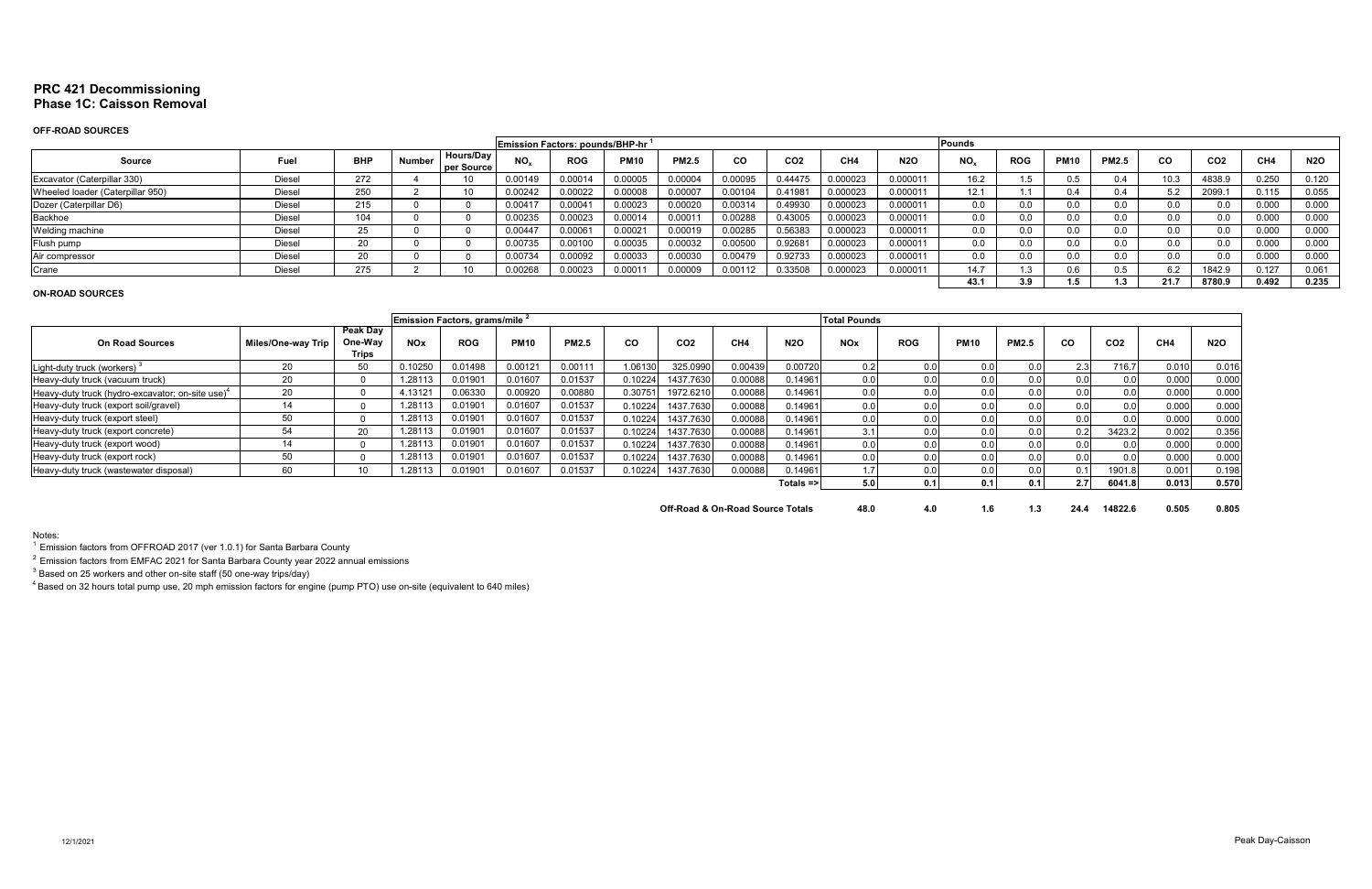# **PRC 421 Decommissioning Phase 1C: Caisson Removal**

## **OFF-ROAD SOURCES**

|                                                                                                                                                    | <b>Emission Factors: pounds/BHP-hr</b> |            |               |                                |              |            |                    |              |           |                 |                 |            | Pounds   |            |             |              |           |                 |       |            |
|----------------------------------------------------------------------------------------------------------------------------------------------------|----------------------------------------|------------|---------------|--------------------------------|--------------|------------|--------------------|--------------|-----------|-----------------|-----------------|------------|----------|------------|-------------|--------------|-----------|-----------------|-------|------------|
| <b>Source</b>                                                                                                                                      | Fuel                                   | <b>BHP</b> | <b>Number</b> | <b>Hours/Dav</b><br>per Source | $NO_{x}$     | <b>ROG</b> | <b>PM10</b>        | <b>PM2.5</b> | <b>CO</b> | CO <sub>2</sub> | CH <sub>4</sub> | <b>N2O</b> | $NO_{x}$ | <b>ROG</b> | <b>PM10</b> | <b>PM2.5</b> | <b>CO</b> | CO <sub>2</sub> | CH4   | <b>N2O</b> |
| Excavator (Caterpillar 330)                                                                                                                        | Diesel                                 | 272        |               |                                | 0.00149      | 0.00014    | 0.00005            | 0.00004      | 0.00095   | 0.44475         | 0.000023        | 0.000011   | 16.2     |            |             | 0.4          | 10.3      | 4838.9          | 0.250 | 0.120      |
| 250<br>0.00022<br>0.00008<br>0.000023<br>0.000011<br>Wheeled loader (Caterpillar 950)<br>0.00007<br>0.00104<br>0.41981<br>J.00242<br><b>Diesel</b> |                                        |            |               |                                |              |            |                    |              |           |                 |                 |            |          |            |             | 0.4          | 5.2       | 2099.           | 0.115 | 0.055      |
| Dozer (Caterpillar D6)                                                                                                                             | Diesel                                 | 215        |               |                                | $0.0041^{-}$ | 0.00041    | 0.00023            | 0.00020      | 0.00314   | 0.49930         | 0.000023        | 0.00001    | 0.0      | 0.0        |             | 0.0          | 0.0       | 0.0             | 0.000 | 0.000      |
| Backhoe                                                                                                                                            | Diesel                                 | 104        |               |                                | 0.00235      | 0.00023    | 0.00014            | 0.00011      | 0.00288   | 0.43005         | 0.000023        | 0.000011   | 0.0      | $0.0\,$    | 0.0         | 0.0          | 0.0       | 0.0             | 0.000 | 0.000      |
| Welding machine                                                                                                                                    | Diesel                                 | 20         |               |                                | 0.00447      | 0.00061    | 0.0002             | 0.00019      | 0.00285   | 0.56383         | 0.000023        | 0.000011   | 0.0      | 0.0        | 0.0         | 0.0          | $0.0\,$   | 0.0             | 0.000 | 0.000      |
| Flush pump                                                                                                                                         | Diesel                                 |            |               |                                | 0.00735      | 0.00100    | 0.00035            | 0.00032      | 0.00500   | 0.92681         | 0.000023        | 0.000011   | $0.0\,$  | $0.0\,$    | 0.0         | 0.0          | $0.0\,$   | 0.0             | 0.000 | 0.000      |
| Air compressor                                                                                                                                     | Diesel                                 | $\sim$     |               |                                | 0.00734      | 0.00092    | 0.00033            | 0.00030      | 0.00479   | 0.92733         | 0.000023        | 0.000011   | 0.0      | $0.0\,$    |             | 0.0          | $0.0\,$   | 0.0             | 0.000 | 0.000      |
| Crane                                                                                                                                              | Diesel                                 | 275        |               |                                | 0026         | 0.00023    | 0.000 <sub>1</sub> | 0.00009      | 0.00112   | 0.33508         | 0.000023        | 0.00001    | 14.7     |            | U.6         | 0.5          | 6.2       | 1842.9          | 0.127 | 0.061      |
|                                                                                                                                                    |                                        |            |               |                                |              |            |                    |              |           |                 |                 |            | 43.1     | 3.9        |             |              | 21.7      | 8780.9          | 0.492 | 0.235      |

## **ON-ROAD SOURCES**

|                                                     |                    |                                            |                       | <b>Emission Factors, grams/mile</b> <sup>2</sup> |             |              |         |                 |                 |                      | <b>Total Pounds</b> |            |             |              |      |                 |       |            |
|-----------------------------------------------------|--------------------|--------------------------------------------|-----------------------|--------------------------------------------------|-------------|--------------|---------|-----------------|-----------------|----------------------|---------------------|------------|-------------|--------------|------|-----------------|-------|------------|
| <b>On Road Sources</b>                              | Miles/One-way Trip | <b>Peak Day</b><br>One-Way<br><b>Trips</b> | <b>NO<sub>x</sub></b> | <b>ROG</b>                                       | <b>PM10</b> | <b>PM2.5</b> | CO      | CO <sub>2</sub> | CH <sub>4</sub> | <b>N2O</b>           | <b>NOx</b>          | <b>ROG</b> | <b>PM10</b> | <b>PM2.5</b> | CO   | CO <sub>2</sub> | CH4   | <b>N2O</b> |
| Light-duty truck (workers)                          |                    | 50                                         | 0.10250               | 0.01498                                          | 0.00121     | 0.00111      | 1.06130 | 325.0990        | 0.00439         | 0.00720              | 0.2                 | 0.0        | 0.0         | 0.0          | 2.31 | 716.7           | 0.010 | 0.016      |
| Heavy-duty truck (vacuum truck)                     | 20                 |                                            | 1.28113               | 0.01901                                          | 0.01607     | 0.01537      | 0.10224 | 1437.7630       | 0.00088         | 0.14961              | 0.0 <sub>1</sub>    |            | 0.01        | 0.0          |      | 0.0             | 0.000 | 0.000      |
| Heavy-duty truck (hydro-excavator; on-site use) $4$ | 20                 |                                            | 4.13121               | 0.06330                                          | 0.00920     | 0.00880      | 0.3075  | 1972.6210       | 0.00088         | 0.14961              | 0.0                 | 0.0        | 0.01        | 0.0          |      | 0.0             | 0.000 | 0.000      |
| Heavy-duty truck (export soil/gravel)               |                    |                                            | 1.28113               | 0.01901                                          | 0.01607     | 0.01537      | 0.10224 | 1437.7630       | 0.00088         | 0.14961              | 0.01                | 0.0        | 0.0         | 0.0          |      | 0.0             | 0.000 | 0.000      |
| Heavy-duty truck (export steel)                     |                    |                                            | 1.28113               | 0.0190'                                          | 0.01607     | 0.01537      | 0.10224 | 1437.7630       | 0.00088         | 0.14961              | 0.0                 | 0.0        | 0.01        | 0.0          |      | 0.0             | 0.000 | 0.000      |
| Heavy-duty truck (export concrete)                  | 54                 | 20                                         | 1.28113               | 0.01901                                          | 0.01607     | 0.01537      | 0.10224 | 1437.7630       | 0.00088         | 0.14961              |                     |            | 0.01        | 0.0          | 0.2  | 3423.2          | 0.002 | 0.356      |
| Heavy-duty truck (export wood)                      | 14                 |                                            | 1.28113               | 0.01901                                          | 0.01607     | 0.01537      | 0.10224 | 1437.7630       | 0.00088         | 0.14961              |                     | 0.0        | 0.01        | 0.0          |      | 0.0             | 0.000 | 0.000      |
| Heavy-duty truck (export rock)                      |                    |                                            | 1.28113               | 0.01901                                          | 0.01607     | 0.01537      | 0.10224 | 1437.7630       | 0.00088         | 0.14961              |                     | 0.0        | 0.01        | 0.0          |      | 0.0             | 0.000 | 0.000      |
| Heavy-duty truck (wastewater disposal)              |                    |                                            | 1.28113               | 0.01901                                          | 0.01607     | 0.01537      | 0.10224 | 1437.7630       | 0.00088         | 0.14961              |                     | 0.01       | 0.01        | 0.0          |      | 1901.8          | 0.001 | 0.198      |
|                                                     |                    |                                            |                       |                                                  |             |              |         |                 |                 | Totals $\Rightarrow$ | 5.01                |            | 0.11        | 0.1          | 2.71 | 6041.8          | 0.013 | 0.570      |
|                                                     |                    |                                            |                       |                                                  |             |              |         |                 |                 |                      |                     |            |             |              |      |                 |       |            |

**Off-Road & On-Road Source Totals 48.0 4.0 1.6 1.3 24.4 14822.6 0.505 0.805** 

Notes:

 $1$  Emission factors from OFFROAD 2017 (ver 1.0.1) for Santa Barbara County

 $2$  Emission factors from EMFAC 2021 for Santa Barbara County year 2022 annual emissions

 $^3$  Based on 25 workers and other on-site staff (50 one-way trips/day)

 $^4$ Based on 32 hours total pump use, 20 mph emission factors for engine (pump PTO) use on-site (equivalent to 640 miles)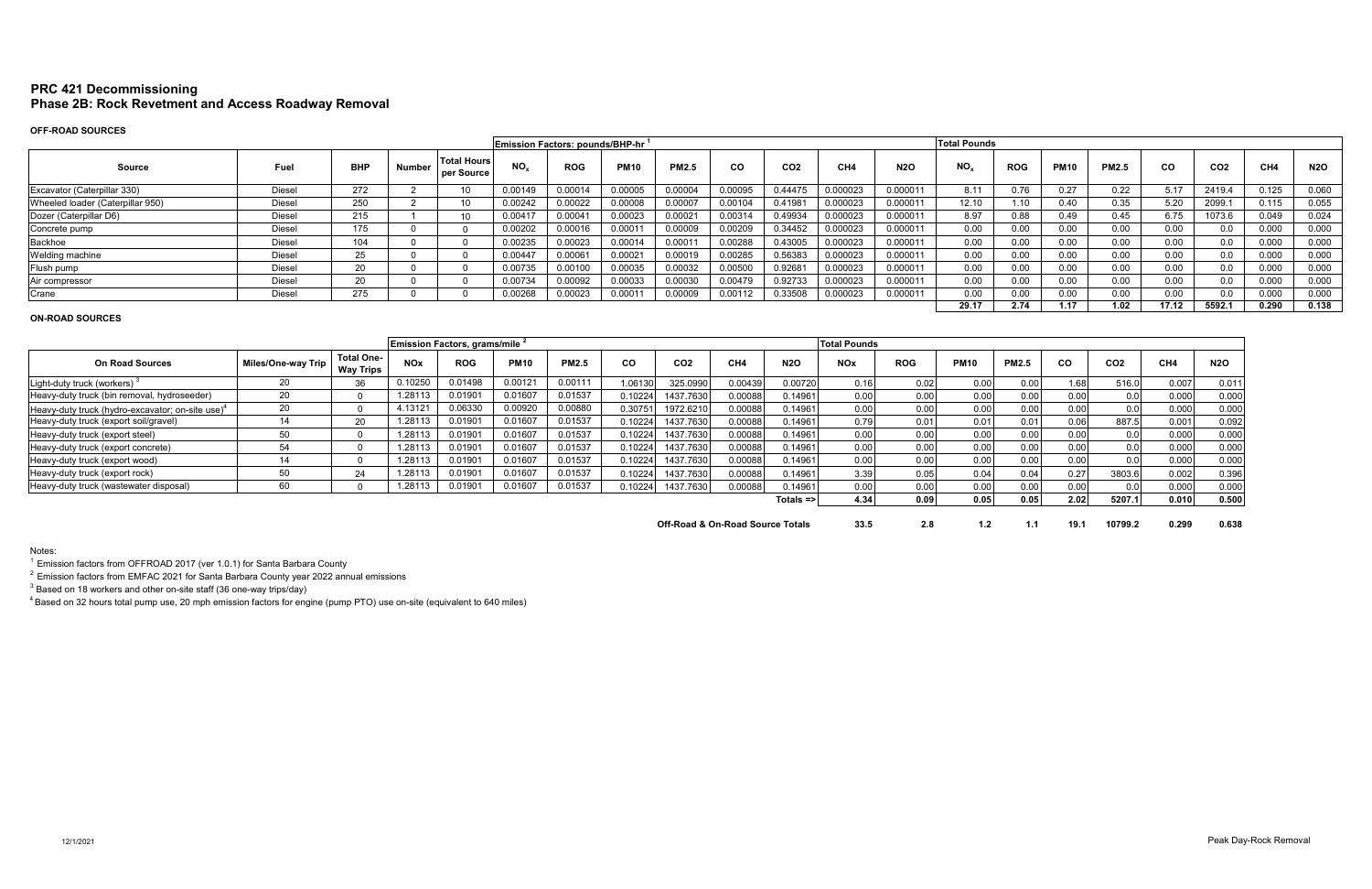# **PRC 421 Decommissioning Phase 2B: Rock Revetment and Access Roadway Removal**

# **OFF-ROAD SOURCES**

|                                  |               |            |               |                                  | <b>Emission Factors: pounds/BHP-hr</b> |            |             |                     |           |                 |                 |            | <b>Total Pounds</b> |            |             |              |       |                 |       |            |
|----------------------------------|---------------|------------|---------------|----------------------------------|----------------------------------------|------------|-------------|---------------------|-----------|-----------------|-----------------|------------|---------------------|------------|-------------|--------------|-------|-----------------|-------|------------|
| <b>Source</b>                    | Fuel          | <b>BHP</b> | <b>Number</b> | <b>Total Hours</b><br>per Source | NO.                                    | <b>ROG</b> | <b>PM10</b> | <b>PM2.5</b>        | <b>CO</b> | CO <sub>2</sub> | CH <sub>4</sub> | <b>N2O</b> | NO <sub>x</sub>     | <b>ROG</b> | <b>PM10</b> | <b>PM2.5</b> | CO.   | CO <sub>2</sub> | CH4   | <b>N2O</b> |
| Excavator (Caterpillar 330)      | Diesel        | 272        |               |                                  | 0.00149                                | 0.00014    | 0.00005     | 0.00004             | 0.00095   | 0.44475         | 0.000023        | 0.000011   | 8.11                | 0.76       | 0.27        | 0.22         | 5.17  | 2419.4          | 0.125 | 0.060      |
| Wheeled loader (Caterpillar 950) | <b>Diesel</b> | 250        |               |                                  | 0.00242                                | 0.00022    | 0.00008     | 0.00007             | 0.00104   | 0.41981         | 0.000023        | 0.000011   | 12.10               | .10        | 0.40        | 0.35         | 5.20  | 2099.1          | 0.115 | 0.055      |
| Dozer (Caterpillar D6)           | Diesel        | 215        |               |                                  | 0.00417                                | 0.0004'    | 0.00023     | 0.0002 <sup>2</sup> | 0.00314   | 0.49934         | 0.000023        | 0.000011   | 8.97                | 0.88       | 0.49        | 0.45         | 6.75  | 1073.6          | 0.049 | 0.024      |
| Concrete pump                    | Diesel        | 175        |               |                                  | 0.00202                                | 0.00016    | 0.00011     | 0.00009             | 0.00209   | 0.34452         | 0.000023        | 0.000011   | 0.00                | 0.00       | 0.00        | 0.00         | 0.00  | 0.0             | 0.000 | 0.000      |
| Backhoe                          | Diesel        | 104        |               |                                  | 0.00235                                | 0.00023    | 0.00014     | 0.0001'             | 0.00288   | 0.43005         | 0.000023        | 0.000011   | 0.00                | 0.00       | 0.00        | 0.00         | 0.00  | 0.0             | 0.000 | 0.000      |
| Welding machine                  | Diesel        | $\sim$ $-$ |               |                                  | 0.00447                                | 1.00061    | 0.00021     | 0.00019             | 0.00285   | 0.56383         | 0.000023        | 0.000011   | 0.00                | 0.00       | 0.00        | 0.00         | 0.00  | 0.0             | 0.000 | 0.000      |
| Flush pump                       | <b>Diesel</b> | 20         |               |                                  | 0.00735                                | 0.00100    | 0.00035     | 0.00032             | 0.00500   | 0.92681         | 0.000023        | 0.000011   | 0.00                | 0.00       | 0.00        | 0.00         | 0.00  | 0.0             | 0.000 | 0.000      |
| Air compressor                   | Diesel        | 20         |               |                                  | 0.00734                                | 0.00092    | 0.00033     | 0.00030             | 0.00479   | 0.92733         | 0.000023        | 0.000011   | 0.00                | 0.00       | 0.00        | 0.00         | 0.00  | 0.0             | 0.000 | 0.000      |
| Crane                            | Diesel        | 275        |               |                                  | 0.00268                                | 0.00023    | 0.00011     | 0.00009             | 0.00112   | 0.33508         | 0.000023        | 0.000011   | 0.00                | 0.00       | 0.00        | 0.00         | 0.00  | 0.0             | 0.000 | 0.000      |
|                                  |               |            |               |                                  |                                        |            |             |                     |           |                 |                 |            | 29.17               | 2.74       | 1.17        | 1.02         | 17.12 | 5592.1          | 0.290 | 0.138      |

|                                                              |                           |                                       |            | Emission Factors, grams/mile <sup>2</sup> |             |              |         |                                  |                 |              | <b>Total Pounds</b> |            |             |              |      |                 |       |            |
|--------------------------------------------------------------|---------------------------|---------------------------------------|------------|-------------------------------------------|-------------|--------------|---------|----------------------------------|-----------------|--------------|---------------------|------------|-------------|--------------|------|-----------------|-------|------------|
| <b>On Road Sources</b>                                       | <b>Miles/One-way Trip</b> | <b>Total One-</b><br><b>Way Trips</b> | <b>NOx</b> | <b>ROG</b>                                | <b>PM10</b> | <b>PM2.5</b> | CO      | CO <sub>2</sub>                  | CH <sub>4</sub> | <b>N2O</b>   | <b>NOx</b>          | <b>ROG</b> | <b>PM10</b> | <b>PM2.5</b> | CO.  | CO <sub>2</sub> | CH4   | <b>N2O</b> |
| Light-duty truck (workers)                                   | 20                        | 36                                    | 0.10250    | 0.01498                                   | 0.00121     | 0.00111      | 1.06130 | 325.0990                         | 0.00439         | 0.00720      | 0.16                | 0.02       | 0.00        | 0.00         | 1.68 | 516.0           | 0.007 | 0.011      |
| Heavy-duty truck (bin removal, hydroseeder)                  | 20                        |                                       | .28113     | 0.0190'                                   | 0.01607     | 0.01537      | 0.10224 | 1437.7630                        | 0.00088         | 0.14961      | 0.00                | 0.00       | 0.00        | 0.00         | 0.00 | 0.0             | 0.000 | 0.000      |
| Heavy-duty truck (hydro-excavator; on-site use) <sup>4</sup> | 20                        |                                       | 4.13121    | 0.06330                                   | 0.00920     | 0.00880      | 0.30751 | 1972.6210                        | 0.00088         | 0.14961      | 0.00                | 0.00       | 0.00        | 0.00         | 0.00 | 0.0             | 0.000 | 0.000      |
| Heavy-duty truck (export soil/gravel)                        | 14                        | 20                                    | 1.28113    | 0.0190                                    | 0.01607     | 0.01537      | 0.10224 | 1437.7630                        | 0.00088         | 0.14961      | 0.79                | 0.01       | 0.01        | 0.01         | 0.06 | 887.5           | 0.001 | 0.092      |
| Heavy-duty truck (export steel)                              | 50                        |                                       | 1.28113    | 0.0190                                    | 0.01607     | 0.01537      | 0.10224 | 1437.7630                        | 0.00088         | 0.14961      | 0.00                | 0.00       | 0.00        | 0.00         | 0.00 | 0.0             | 0.000 | 0.000      |
| Heavy-duty truck (export concrete)                           | 54                        |                                       | 1.28113    | 0.0190'                                   | 0.01607     | 0.01537      | 0.10224 | 1437.7630                        | 0.00088         | 0.14961      | 0.00                | 0.00       | 0.00        | 0.00         | 0.00 | 0.0             | 0.000 | 0.000      |
| Heavy-duty truck (export wood)                               | 14                        |                                       | 1.28113    | 0.0190'                                   | 0.01607     | 0.01537      | 0.10224 | 1437.7630                        | 0.00088         | 0.14961      | 0.00                | 0.00       | 0.00        | 0.00         | 0.00 | 0.0             | 0.000 | 0.000      |
| Heavy-duty truck (export rock)                               | 50                        | 24                                    | 1.28113    | 0.0190'                                   | 0.01607     | 0.01537      | 0.10224 | 1437.7630                        | 0.00088         | 0.14961      | 3.39                | 0.05       | 0.04        | 0.04         | 0.27 | 3803.6          | 0.002 | 0.396      |
| Heavy-duty truck (wastewater disposal)                       | 60                        |                                       | 1.28113    | 0.0190'                                   | 0.01607     | 0.01537      | 10224   | 1437.7630                        | 0.00088         | 0.14961      | 0.00                | 0.00       | 0.00        | 0.00         | 0.00 | 0.0             | 0.000 | 0.000      |
|                                                              |                           |                                       |            |                                           |             |              |         |                                  |                 | $Totals = >$ | 4.34                | 0.09       | 0.05        | 0.05         | 2.02 | 5207.1          | 0.010 | 0.500      |
|                                                              |                           |                                       |            |                                           |             |              |         | Off-Road & On-Road Source Totals |                 |              | 33.5                | 2.8        |             | 1.1          | 19.1 | 10799.2         | 0.299 | 0.638      |

**Road Source Totals 33.5** 

# **ON-ROAD SOURCES**

Notes:

 $^1$  Emission factors from OFFROAD 2017 (ver 1.0.1) for Santa Barbara County

 $2$  Emission factors from EMFAC 2021 for Santa Barbara County year 2022 annual emissions

 $^3$  Based on 18 workers and other on-site staff (36 one-way trips/day)

 $^4$ Based on 32 hours total pump use, 20 mph emission factors for engine (pump PTO) use on-site (equivalent to 640 miles)